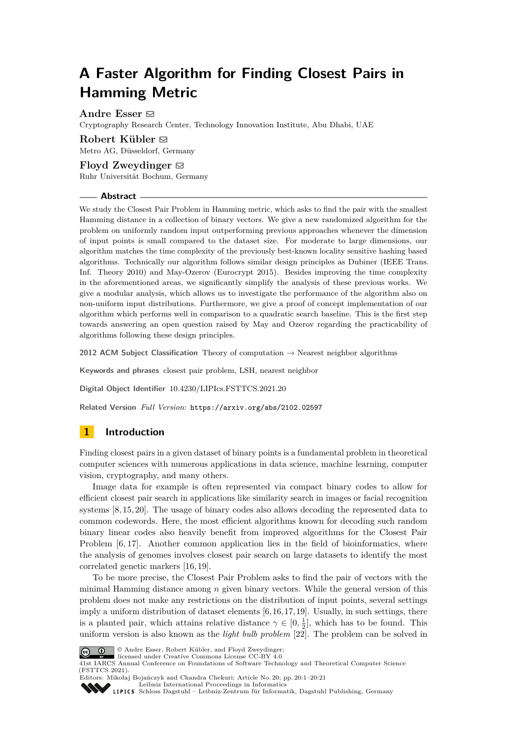# **A Faster Algorithm for Finding Closest Pairs in Hamming Metric**

**Andre Esser** [#](mailto:andre.esser@tii.ae)

Cryptography Research Center, Technology Innovation Institute, Abu Dhabi, UAE

## Robert Kübler  $\boxdot$

Metro AG, Düsseldorf, Germany

## Floyd Zweydinger  $\boxtimes$

Ruhr Universität Bochum, Germany

### **Abstract**

We study the Closest Pair Problem in Hamming metric, which asks to find the pair with the smallest Hamming distance in a collection of binary vectors. We give a new randomized algorithm for the problem on uniformly random input outperforming previous approaches whenever the dimension of input points is small compared to the dataset size. For moderate to large dimensions, our algorithm matches the time complexity of the previously best-known locality sensitive hashing based algorithms. Technically our algorithm follows similar design principles as Dubiner (IEEE Trans. Inf. Theory 2010) and May-Ozerov (Eurocrypt 2015). Besides improving the time complexity in the aforementioned areas, we significantly simplify the analysis of these previous works. We give a modular analysis, which allows us to investigate the performance of the algorithm also on non-uniform input distributions. Furthermore, we give a proof of concept implementation of our algorithm which performs well in comparison to a quadratic search baseline. This is the first step towards answering an open question raised by May and Ozerov regarding the practicability of algorithms following these design principles.

**2012 ACM Subject Classification** Theory of computation → Nearest neighbor algorithms

**Keywords and phrases** closest pair problem, LSH, nearest neighbor

**Digital Object Identifier** [10.4230/LIPIcs.FSTTCS.2021.20](https://doi.org/10.4230/LIPIcs.FSTTCS.2021.20)

**Related Version** *Full Version*: <https://arxiv.org/abs/2102.02597>

## **1 Introduction**

Finding closest pairs in a given dataset of binary points is a fundamental problem in theoretical computer sciences with numerous applications in data science, machine learning, computer vision, cryptography, and many others.

Image data for example is often represented via compact binary codes to allow for efficient closest pair search in applications like similarity search in images or facial recognition systems [\[8,](#page-16-0) [15,](#page-16-1) [20\]](#page-16-2). The usage of binary codes also allows decoding the represented data to common codewords. Here, the most efficient algorithms known for decoding such random binary linear codes also heavily benefit from improved algorithms for the Closest Pair Problem [\[6,](#page-16-3) [17\]](#page-16-4). Another common application lies in the field of bioinformatics, where the analysis of genomes involves closest pair search on large datasets to identify the most correlated genetic markers [\[16,](#page-16-5) [19\]](#page-16-6).

To be more precise, the Closest Pair Problem asks to find the pair of vectors with the minimal Hamming distance among *n* given binary vectors. While the general version of this problem does not make any restrictions on the distribution of input points, several settings imply a uniform distribution of dataset elements  $[6, 16, 17, 19]$  $[6, 16, 17, 19]$  $[6, 16, 17, 19]$  $[6, 16, 17, 19]$ . Usually, in such settings, there is a planted pair, which attains relative distance  $\gamma \in [0, \frac{1}{2}]$ , which has to be found. This uniform version is also known as the *light bulb problem* [\[22\]](#page-16-7). The problem can be solved in



© Andre Esser, Robert Kübler, and Floyd Zweydinger; licensed under Creative Commons License CC-BY 4.0

41st IARCS Annual Conference on Foundations of Software Technology and Theoretical Computer Science (FSTTCS 2021).

Editors: Mikołaj Bojańczyk and Chandra Chekuri; Article No. 20; pp. 20:1–20:21 [Leibniz International Proceedings in Informatics](https://www.dagstuhl.de/lipics/)

[Schloss Dagstuhl – Leibniz-Zentrum für Informatik, Dagstuhl Publishing, Germany](https://www.dagstuhl.de)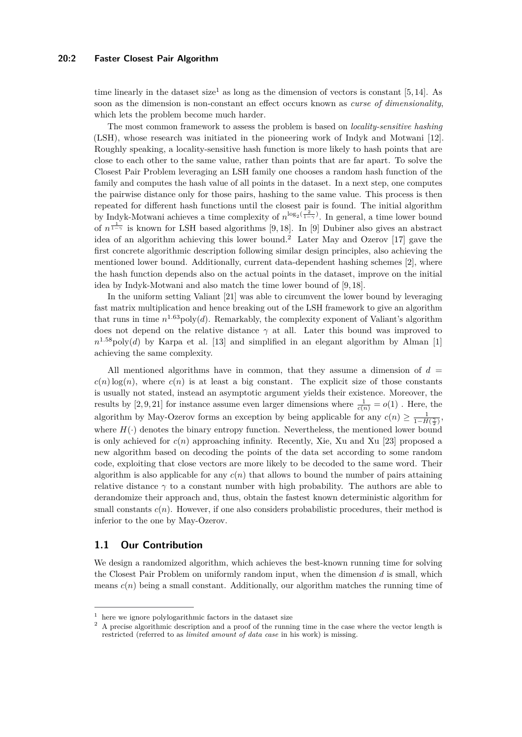#### **20:2 Faster Closest Pair Algorithm**

time linearly in the dataset size<sup>[1](#page-1-0)</sup> as long as the dimension of vectors is constant [\[5,](#page-16-8) [14\]](#page-16-9). As soon as the dimension is non-constant an effect occurs known as *curse of dimensionality*, which lets the problem become much harder.

The most common framework to assess the problem is based on *locality-sensitive hashing* (LSH), whose research was initiated in the pioneering work of Indyk and Motwani [\[12\]](#page-16-10). Roughly speaking, a locality-sensitive hash function is more likely to hash points that are close to each other to the same value, rather than points that are far apart. To solve the Closest Pair Problem leveraging an LSH family one chooses a random hash function of the family and computes the hash value of all points in the dataset. In a next step, one computes the pairwise distance only for those pairs, hashing to the same value. This process is then repeated for different hash functions until the closest pair is found. The initial algorithm by Indyk-Motwani achieves a time complexity of  $n^{\log_2(\frac{2}{1-\gamma})}$ . In general, a time lower bound of  $n^{\frac{1}{1-\gamma}}$  is known for LSH based algorithms [\[9,](#page-16-11) [18\]](#page-16-12). In [\[9\]](#page-16-11) Dubiner also gives an abstract idea of an algorithm achieving this lower bound.[2](#page-1-1) Later May and Ozerov [\[17\]](#page-16-4) gave the first concrete algorithmic description following similar design principles, also achieving the mentioned lower bound. Additionally, current data-dependent hashing schemes [\[2\]](#page-15-0), where the hash function depends also on the actual points in the dataset, improve on the initial idea by Indyk-Motwani and also match the time lower bound of [\[9,](#page-16-11) [18\]](#page-16-12).

In the uniform setting Valiant [\[21\]](#page-16-13) was able to circumvent the lower bound by leveraging fast matrix multiplication and hence breaking out of the LSH framework to give an algorithm that runs in time  $n^{1.63}$  poly(*d*). Remarkably, the complexity exponent of Valiant's algorithm does not depend on the relative distance  $\gamma$  at all. Later this bound was improved to  $n^{1.58}$ poly(*d*) by Karpa et al. [\[13\]](#page-16-14) and simplified in an elegant algorithm by Alman [\[1\]](#page-15-1) achieving the same complexity.

All mentioned algorithms have in common, that they assume a dimension of  $d =$  $c(n) \log(n)$ , where  $c(n)$  is at least a big constant. The explicit size of those constants is usually not stated, instead an asymptotic argument yields their existence. Moreover, the results by [\[2,](#page-15-0) [9,](#page-16-11) [21\]](#page-16-13) for instance assume even larger dimensions where  $\frac{1}{c(n)} = o(1)$ . Here, the algorithm by May-Ozerov forms an exception by being applicable for any  $c(n) \geq \frac{1}{1 - H(\frac{\gamma}{2})}$ , where  $H(\cdot)$  denotes the binary entropy function. Nevertheless, the mentioned lower bound is only achieved for  $c(n)$  approaching infinity. Recently, Xie, Xu and Xu [\[23\]](#page-16-15) proposed a new algorithm based on decoding the points of the data set according to some random code, exploiting that close vectors are more likely to be decoded to the same word. Their algorithm is also applicable for any  $c(n)$  that allows to bound the number of pairs attaining relative distance  $\gamma$  to a constant number with high probability. The authors are able to derandomize their approach and, thus, obtain the fastest known deterministic algorithm for small constants  $c(n)$ . However, if one also considers probabilistic procedures, their method is inferior to the one by May-Ozerov.

## **1.1 Our Contribution**

We design a randomized algorithm, which achieves the best-known running time for solving the Closest Pair Problem on uniformly random input, when the dimension *d* is small, which means  $c(n)$  being a small constant. Additionally, our algorithm matches the running time of

<span id="page-1-0"></span><sup>&</sup>lt;sup>1</sup> here we ignore polylogarithmic factors in the dataset size  $\frac{2}{3}$  A precise elemention description and a precise of the winning

<span id="page-1-1"></span><sup>2</sup> A precise algorithmic description and a proof of the running time in the case where the vector length is restricted (referred to as *limited amount of data case* in his work) is missing.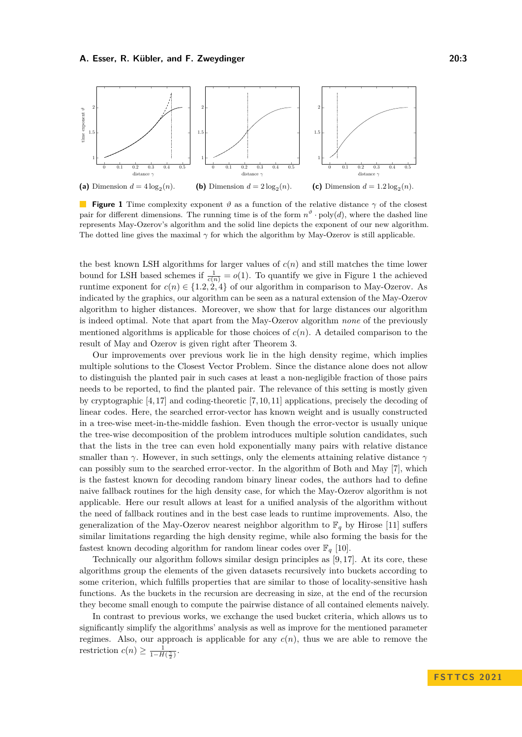<span id="page-2-0"></span>

**Figure 1** Time complexity exponent  $\vartheta$  as a function of the relative distance  $\gamma$  of the closest pair for different dimensions. The running time is of the form  $n^{\vartheta}$  · poly(*d*), where the dashed line represents May-Ozerov's algorithm and the solid line depicts the exponent of our new algorithm. The dotted line gives the maximal  $\gamma$  for which the algorithm by May-Ozerov is still applicable.

the best known LSH algorithms for larger values of *c*(*n*) and still matches the time lower bound for LSH based schemes if  $\frac{1}{c(n)} = o(1)$ . To quantify we give in Figure [1](#page-2-0) the achieved runtime exponent for  $c(n) \in \{1.2, 2.4\}$  of our algorithm in comparison to May-Ozerov. As indicated by the graphics, our algorithm can be seen as a natural extension of the May-Ozerov algorithm to higher distances. Moreover, we show that for large distances our algorithm is indeed optimal. Note that apart from the May-Ozerov algorithm *none* of the previously mentioned algorithms is applicable for those choices of  $c(n)$ . A detailed comparison to the result of May and Ozerov is given right after Theorem [3.](#page-6-0)

Our improvements over previous work lie in the high density regime, which implies multiple solutions to the Closest Vector Problem. Since the distance alone does not allow to distinguish the planted pair in such cases at least a non-negligible fraction of those pairs needs to be reported, to find the planted pair. The relevance of this setting is mostly given by cryptographic [\[4,](#page-15-2) [17\]](#page-16-4) and coding-theoretic [\[7,](#page-16-16) [10,](#page-16-17) [11\]](#page-16-18) applications, precisely the decoding of linear codes. Here, the searched error-vector has known weight and is usually constructed in a tree-wise meet-in-the-middle fashion. Even though the error-vector is usually unique the tree-wise decomposition of the problem introduces multiple solution candidates, such that the lists in the tree can even hold exponentially many pairs with relative distance smaller than  $\gamma$ . However, in such settings, only the elements attaining relative distance  $\gamma$ can possibly sum to the searched error-vector. In the algorithm of Both and May [\[7\]](#page-16-16), which is the fastest known for decoding random binary linear codes, the authors had to define naive fallback routines for the high density case, for which the May-Ozerov algorithm is not applicable. Here our result allows at least for a unified analysis of the algorithm without the need of fallback routines and in the best case leads to runtime improvements. Also, the generalization of the May-Ozerov nearest neighbor algorithm to  $\mathbb{F}_q$  by Hirose [\[11\]](#page-16-18) suffers similar limitations regarding the high density regime, while also forming the basis for the fastest known decoding algorithm for random linear codes over  $\mathbb{F}_q$  [\[10\]](#page-16-17).

Technically our algorithm follows similar design principles as [\[9,](#page-16-11) [17\]](#page-16-4). At its core, these algorithms group the elements of the given datasets recursively into buckets according to some criterion, which fulfills properties that are similar to those of locality-sensitive hash functions. As the buckets in the recursion are decreasing in size, at the end of the recursion they become small enough to compute the pairwise distance of all contained elements naively.

In contrast to previous works, we exchange the used bucket criteria, which allows us to significantly simplify the algorithms' analysis as well as improve for the mentioned parameter regimes. Also, our approach is applicable for any  $c(n)$ , thus we are able to remove the restriction  $c(n) \geq \frac{1}{1 - H(\frac{\gamma}{2})}$ .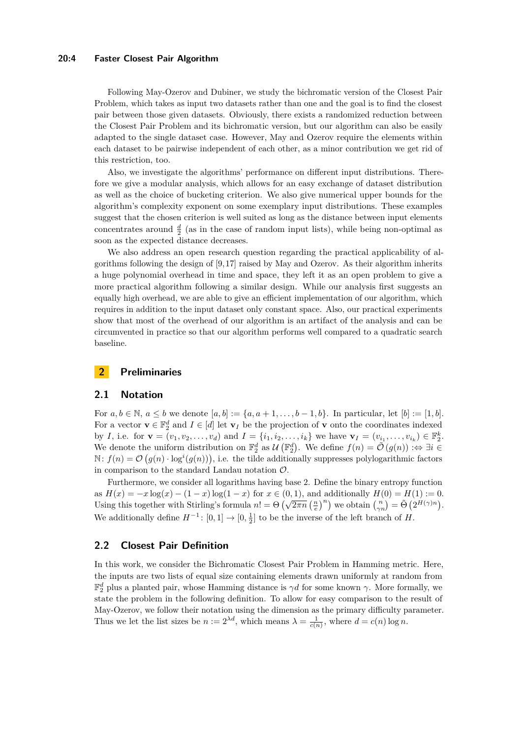#### **20:4 Faster Closest Pair Algorithm**

Following May-Ozerov and Dubiner, we study the bichromatic version of the Closest Pair Problem, which takes as input two datasets rather than one and the goal is to find the closest pair between those given datasets. Obviously, there exists a randomized reduction between the Closest Pair Problem and its bichromatic version, but our algorithm can also be easily adapted to the single dataset case. However, May and Ozerov require the elements within each dataset to be pairwise independent of each other, as a minor contribution we get rid of this restriction, too.

Also, we investigate the algorithms' performance on different input distributions. Therefore we give a modular analysis, which allows for an easy exchange of dataset distribution as well as the choice of bucketing criterion. We also give numerical upper bounds for the algorithm's complexity exponent on some exemplary input distributions. These examples suggest that the chosen criterion is well suited as long as the distance between input elements concentrates around  $\frac{d}{2}$  (as in the case of random input lists), while being non-optimal as soon as the expected distance decreases.

We also address an open research question regarding the practical applicability of algorithms following the design of [\[9,](#page-16-11)[17\]](#page-16-4) raised by May and Ozerov. As their algorithm inherits a huge polynomial overhead in time and space, they left it as an open problem to give a more practical algorithm following a similar design. While our analysis first suggests an equally high overhead, we are able to give an efficient implementation of our algorithm, which requires in addition to the input dataset only constant space. Also, our practical experiments show that most of the overhead of our algorithm is an artifact of the analysis and can be circumvented in practice so that our algorithm performs well compared to a quadratic search baseline.

## **2 Preliminaries**

#### **2.1 Notation**

For *a*, *b* ∈ N, *a* ≤ *b* we denote  $[a, b] := \{a, a + 1, ..., b - 1, b\}$ . In particular, let  $[b] := [1, b]$ . For a vector  $\mathbf{v} \in \mathbb{F}_2^d$  and  $I \in [d]$  let  $\mathbf{v}_I$  be the projection of **v** onto the coordinates indexed by *I*, i.e. for  $\mathbf{v} = (v_1, v_2, \dots, v_d)$  and  $I = \{i_1, i_2, \dots, i_k\}$  we have  $\mathbf{v}_I = (v_{i_1}, \dots, v_{i_k}) \in \mathbb{F}_2^k$ . We denote the uniform distribution on  $\mathbb{F}_2^d$  as  $\mathcal{U}(\mathbb{F}_2^d)$ . We define  $f(n) = \tilde{\mathcal{O}}(g(n)) : \Leftrightarrow \exists i \in$  $\mathbb{N}: f(n) = \mathcal{O}(g(n) \cdot \log^{i}(g(n)))$ , i.e. the tilde additionally suppresses polylogarithmic factors in comparison to the standard Landau notation  $\mathcal{O}$ .

Furthermore, we consider all logarithms having base 2. Define the binary entropy function as  $H(x) = -x \log(x) - (1 - x) \log(1 - x)$  for  $x \in (0, 1)$ , and additionally  $H(0) = H(1) := 0$ . Using this together with Stirling's formula  $n! = \Theta\left(\sqrt{2\pi n} \left(\frac{n}{e}\right)^n\right)$  we obtain  $\binom{n}{n} = \tilde{\Theta}\left(2^{H(\gamma)n}\right)$ . We additionally define  $H^{-1}$ :  $[0, 1] \rightarrow [0, \frac{1}{2}]$  to be the inverse of the left branch of *H*.

## **2.2 Closest Pair Definition**

<span id="page-3-0"></span>In this work, we consider the Bichromatic Closest Pair Problem in Hamming metric. Here, the inputs are two lists of equal size containing elements drawn uniformly at random from  $\mathbb{F}_2^d$  plus a planted pair, whose Hamming distance is  $\gamma d$  for some known  $\gamma$ . More formally, we state the problem in the following definition. To allow for easy comparison to the result of May-Ozerov, we follow their notation using the dimension as the primary difficulty parameter. Thus we let the list sizes be  $n := 2^{\lambda d}$ , which means  $\lambda = \frac{1}{c(n)}$ , where  $d = c(n) \log n$ .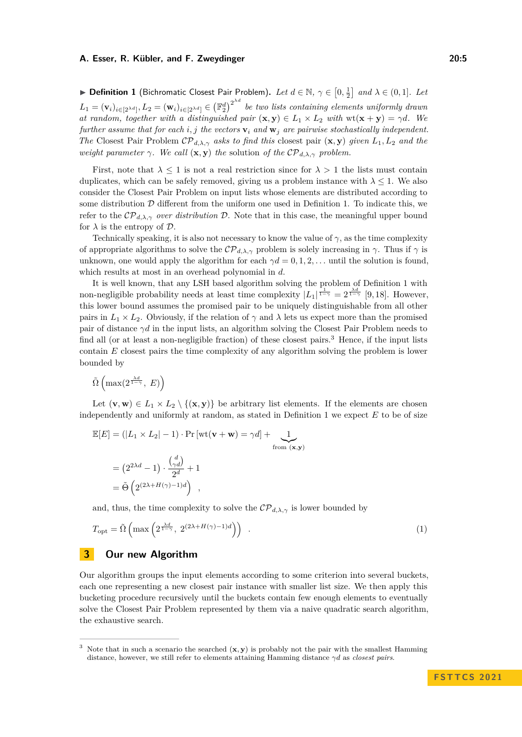▶ **Definition 1** (Bichromatic Closest Pair Problem). Let  $d \in \mathbb{N}$ ,  $\gamma \in [0, \frac{1}{2}]$  and  $\lambda \in (0, 1]$ . Let  $L_1 = (\mathbf{v}_i)_{i \in [2^{\lambda d}]}, L_2 = (\mathbf{w}_i)_{i \in [2^{\lambda d}]} \in (\mathbb{F}_2^d)^{2^{\lambda d}}$  be two lists containing elements uniformly drawn *at random, together with a distinguished pair*  $(\mathbf{x}, \mathbf{y}) \in L_1 \times L_2$  *with*  $wt(\mathbf{x} + \mathbf{y}) = \gamma d$ *. We further assume that for each i, j the vectors*  $\mathbf{v}_i$  *and*  $\mathbf{w}_j$  *are pairwise stochastically independent. The* Closest Pair Problem  $\mathcal{CP}_{d,\lambda,\gamma}$  *asks to find this* closest pair  $(\mathbf{x}, \mathbf{y})$  *given*  $L_1, L_2$  *and the weight parameter*  $\gamma$ *. We call*  $(\mathbf{x}, \mathbf{y})$  *the* solution *of the*  $\mathcal{CP}_{d,\lambda,\gamma}$  *problem.* 

First, note that  $\lambda \leq 1$  is not a real restriction since for  $\lambda > 1$  the lists must contain duplicates, which can be safely removed, giving us a problem instance with  $\lambda \leq 1$ . We also consider the Closest Pair Problem on input lists whose elements are distributed according to some distribution  $D$  different from the uniform one used in Definition [1.](#page-3-0) To indicate this, we refer to the  $\mathcal{CP}_{d,\lambda,\gamma}$  *over distribution*  $\mathcal{D}$ . Note that in this case, the meaningful upper bound for  $\lambda$  is the entropy of  $\mathcal{D}$ .

Technically speaking, it is also not necessary to know the value of  $\gamma$ , as the time complexity of appropriate algorithms to solve the  $\mathcal{CP}_{d,\lambda,\gamma}$  problem is solely increasing in  $\gamma$ . Thus if  $\gamma$  is unknown, one would apply the algorithm for each  $\gamma d = 0, 1, 2, \ldots$  until the solution is found, which results at most in an overhead polynomial in *d*.

It is well known, that any LSH based algorithm solving the problem of Definition [1](#page-3-0) with non-negligible probability needs at least time complexity  $|L_1|^{\frac{1}{1-\gamma}} = 2^{\frac{\lambda d}{1-\gamma}}$  [\[9,](#page-16-11)18]. However, this lower bound assumes the promised pair to be uniquely distinguishable from all other pairs in  $L_1 \times L_2$ . Obviously, if the relation of  $\gamma$  and  $\lambda$  lets us expect more than the promised pair of distance  $\gamma d$  in the input lists, an algorithm solving the Closest Pair Problem needs to find all (or at least a non-negligible fraction) of these closest pairs.<sup>[3](#page-4-0)</sup> Hence, if the input lists contain *E* closest pairs the time complexity of any algorithm solving the problem is lower bounded by

$$
\tilde{\Omega}\left(\max(2^{\frac{\lambda d}{1-\gamma}}, E)\right)
$$

Let  $(\mathbf{v}, \mathbf{w}) \in L_1 \times L_2 \setminus \{(\mathbf{x}, \mathbf{y})\}$  be arbitrary list elements. If the elements are chosen independently and uniformly at random, as stated in Definition [1](#page-3-0) we expect *E* to be of size

$$
\mathbb{E}[E] = (|L_1 \times L_2| - 1) \cdot \Pr[\text{wt}(\mathbf{v} + \mathbf{w}) = \gamma d] + \underbrace{1}_{\text{from } (\mathbf{x}, \mathbf{y})}
$$
\n
$$
= (2^{2\lambda d} - 1) \cdot \frac{\binom{d}{\gamma d}}{2^d} + 1
$$
\n
$$
= \tilde{\Theta} \left( 2^{(2\lambda + H(\gamma) - 1)d} \right) ,
$$

and, thus, the time complexity to solve the  $\mathcal{CP}_{d,\lambda,\gamma}$  is lower bounded by

<span id="page-4-2"></span>
$$
T_{\rm opt} = \tilde{\Omega} \left( \max \left( 2^{\frac{\lambda d}{1 - \gamma}}, \ 2^{(2\lambda + H(\gamma) - 1)d} \right) \right) \ . \tag{1}
$$

#### <span id="page-4-1"></span>**3 Our new Algorithm**

Our algorithm groups the input elements according to some criterion into several buckets, each one representing a new closest pair instance with smaller list size. We then apply this bucketing procedure recursively until the buckets contain few enough elements to eventually solve the Closest Pair Problem represented by them via a naive quadratic search algorithm, the exhaustive search.

<span id="page-4-0"></span>Note that in such a scenario the searched  $(\mathbf{x}, \mathbf{y})$  is probably not the pair with the smallest Hamming distance, however, we still refer to elements attaining Hamming distance *γd* as *closest pairs*.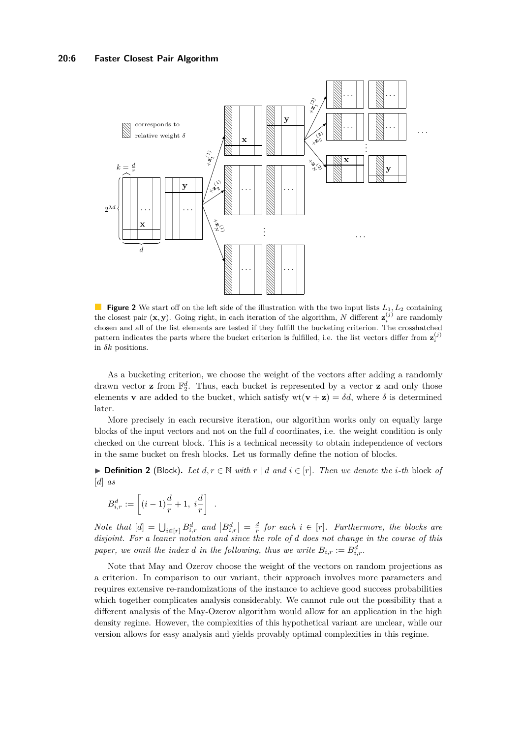

**Figure 2** We start off on the left side of the illustration with the two input lists  $L_1, L_2$  containing the closest pair  $(\mathbf{x}, \mathbf{y})$ . Going right, in each iteration of the algorithm, *N* different  $\mathbf{z}_i^{(j)}$  are randomly chosen and all of the list elements are tested if they fulfill the bucketing criterion. The crosshatched pattern indicates the parts where the bucket criterion is fulfilled, i.e. the list vectors differ from  $z_i^{(j)}$ in  $\delta k$  positions.

As a bucketing criterion, we choose the weight of the vectors after adding a randomly drawn vector **z** from  $\mathbb{F}_2^d$ . Thus, each bucket is represented by a vector **z** and only those elements **v** are added to the bucket, which satisfy  $wt(\mathbf{v} + \mathbf{z}) = \delta d$ , where  $\delta$  is determined later.

More precisely in each recursive iteration, our algorithm works only on equally large blocks of the input vectors and not on the full *d* coordinates, i.e. the weight condition is only checked on the current block. This is a technical necessity to obtain independence of vectors in the same bucket on fresh blocks. Let us formally define the notion of blocks.

<span id="page-5-0"></span>▶ **Definition 2** (Block). Let  $d, r \in \mathbb{N}$  with  $r \mid d$  and  $i \in [r]$ . Then we denote the *i*-th block of [*d*] *as*

$$
B_{i,r}^d := \left[ (i-1)\frac{d}{r} + 1, i\frac{d}{r} \right] .
$$

 $Note that \n\begin{bmatrix} d \end{bmatrix} = \bigcup_{i \in [r]} B_{i,r}^d$  and  $\big| B_{i,r}^d \big| = \frac{d}{r}$  for each  $i \in [r]$ *. Furthermore, the blocks are disjoint. For a leaner notation and since the role of d does not change in the course of this paper, we omit the index d in the following, thus we write*  $B_{i,r} := B_{i,r}^d$ .

Note that May and Ozerov choose the weight of the vectors on random projections as a criterion. In comparison to our variant, their approach involves more parameters and requires extensive re-randomizations of the instance to achieve good success probabilities which together complicates analysis considerably. We cannot rule out the possibility that a different analysis of the May-Ozerov algorithm would allow for an application in the high density regime. However, the complexities of this hypothetical variant are unclear, while our version allows for easy analysis and yields provably optimal complexities in this regime.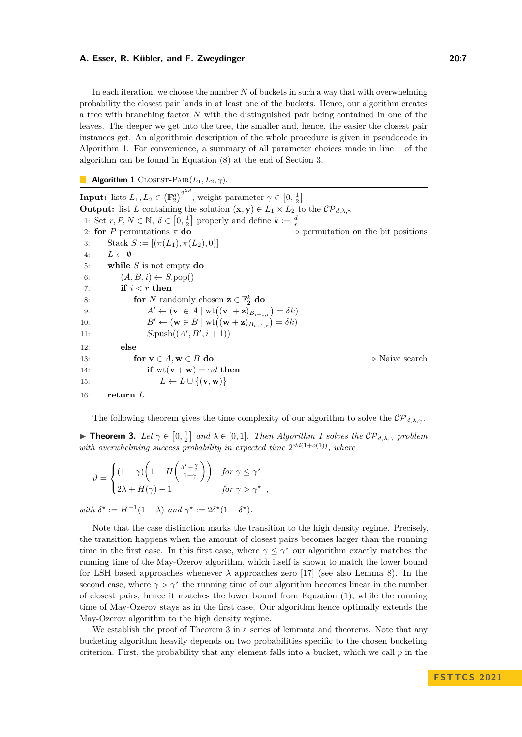In each iteration, we choose the number *N* of buckets in such a way that with overwhelming probability the closest pair lands in at least one of the buckets. Hence, our algorithm creates a tree with branching factor *N* with the distinguished pair being contained in one of the leaves. The deeper we get into the tree, the smaller and, hence, the easier the closest pair instances get. An algorithmic description of the whole procedure is given in pseudocode in Algorithm [1.](#page-6-1) For convenience, a summary of all parameter choices made in line [1](#page-5-0) of the algorithm can be found in Equation [\(8\)](#page-13-0) at the end of Section [3.](#page-4-1)

<span id="page-6-1"></span>**Algorithm 1** CLOSEST-PAIR $(L_1, L_2, \gamma)$ .

**Input:** lists  $L_1, L_2 \in (\mathbb{F}_2^d)^{2^{\lambda d}}$ , weight parameter  $\gamma \in [0, \frac{1}{2}]$ **Output:** list *L* containing the solution  $(\mathbf{x}, \mathbf{y}) \in L_1 \times L_2$  to the  $\mathcal{CP}_{d,\lambda,\gamma}$ 1: Set  $r, P, N \in \mathbb{N}, \delta \in [0, \frac{1}{2}]$  properly and define  $k := \frac{d}{r}$ 2: **for** *P* permutations  $\pi$  **do**  $\triangleright$  *permutation on the bit positions* 3: Stack  $S := [(\pi(L_1), \pi(L_2), 0)]$ 4:  $L \leftarrow \emptyset$ 5: **while** *S* is not empty **do** 6:  $(A, B, i) \leftarrow S.\text{pop}()$ 7: **if** *i < r* **then** 8: **for** *N* randomly chosen  $z \in \mathbb{F}_2^k$  do 9:  $A' \leftarrow (\mathbf{v} \in A \mid \text{wt}((\mathbf{v} + \mathbf{z})_{B_{i+1,r}}) = \delta k)$ 10:  $B' \leftarrow (\mathbf{w} \in B \mid \text{wt}((\mathbf{w} + \mathbf{z})_{B_{i+1,r}}) = \delta k)$ 11: *S.push(* $(A', B', i + 1)$ *)* 12: **else** 13: **for**  $\mathbf{v} \in A$ ,  $\mathbf{w} \in B$  **do** *p* Naive search 14: **if**  $wt(\mathbf{v} + \mathbf{w}) = \gamma d$  **then** 15:  $L \leftarrow L \cup \{(\mathbf{v}, \mathbf{w})\}$ 16: **return** *L*

The following theorem gives the time complexity of our algorithm to solve the  $\mathcal{CP}_{d,\lambda,\gamma}$ .

*,*

<span id="page-6-0"></span>**Fineorem 3.** Let  $\gamma \in [0, \frac{1}{2}]$  and  $\lambda \in [0, 1]$  $\lambda \in [0, 1]$  $\lambda \in [0, 1]$ . Then Algorithm 1 solves the  $\mathcal{CP}_{d, \lambda, \gamma}$  problem with overwhelming success probability in expected time  $2^{\vartheta d(1+o(1))}$ , where

$$
\vartheta = \begin{cases} (1 - \gamma) \left( 1 - H \left( \frac{\delta^* - \frac{\gamma}{2}}{1 - \gamma} \right) \right) & \text{for } \gamma \le \gamma^* \\ 2\lambda + H(\gamma) - 1 & \text{for } \gamma > \gamma^* \end{cases}
$$

*with*  $\delta^* := H^{-1}(1 - \lambda)$  *and*  $\gamma^* := 2\delta^*(1 - \delta^*)$ *.* 

Note that the case distinction marks the transition to the high density regime. Precisely, the transition happens when the amount of closest pairs becomes larger than the running time in the first case. In this first case, where  $\gamma \leq \gamma^*$  our algorithm exactly matches the running time of the May-Ozerov algorithm, which itself is shown to match the lower bound for LSH based approaches whenever  $\lambda$  approaches zero [\[17\]](#page-16-4) (see also Lemma [8\)](#page-12-0). In the second case, where  $\gamma > \gamma^*$  the running time of our algorithm becomes linear in the number of closest pairs, hence it matches the lower bound from Equation [\(1\)](#page-4-2), while the running time of May-Ozerov stays as in the first case. Our algorithm hence optimally extends the May-Ozerov algorithm to the high density regime.

We establish the proof of Theorem [3](#page-6-0) in a series of lemmata and theorems. Note that any bucketing algorithm heavily depends on two probabilities specific to the chosen bucketing criterion. First, the probability that any element falls into a bucket, which we call *p* in the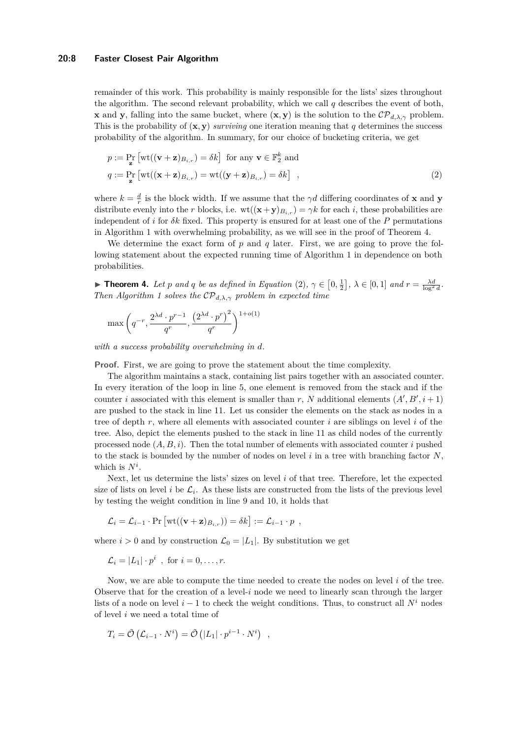#### **20:8 Faster Closest Pair Algorithm**

remainder of this work. This probability is mainly responsible for the lists' sizes throughout the algorithm. The second relevant probability, which we call *q* describes the event of both, **x** and **y**, falling into the same bucket, where  $(\mathbf{x}, \mathbf{y})$  is the solution to the  $\mathcal{CP}_{d,\lambda,\gamma}$  problem. This is the probability of  $(x, y)$  *surviving* one iteration meaning that *q* determines the success probability of the algorithm. In summary, for our choice of bucketing criteria, we get

<span id="page-7-1"></span>
$$
p := \Pr_{\mathbf{z}} \left[ \text{wt}((\mathbf{v} + \mathbf{z})_{B_{i,r}}) = \delta k \right] \text{ for any } \mathbf{v} \in \mathbb{F}_2^k \text{ and}
$$
  

$$
q := \Pr_{\mathbf{z}} \left[ \text{wt}((\mathbf{x} + \mathbf{z})_{B_{i,r}}) = \text{wt}((\mathbf{y} + \mathbf{z})_{B_{i,r}}) = \delta k \right] ,
$$
 (2)

where  $k = \frac{d}{r}$  is the block width. If we assume that the *γd* differing coordinates of **x** and **y** distribute evenly into the *r* blocks, i.e.  $wt((\mathbf{x} + \mathbf{y})_{B_{i,r}}) = \gamma k$  for each *i*, these probabilities are independent of *i* for *δk* fixed. This property is ensured for at least one of the *P* permutations in Algorithm [1](#page-6-1) with overwhelming probability, as we will see in the proof of Theorem [4.](#page-7-0)

We determine the exact form of *p* and *q* later. First, we are going to prove the following statement about the expected running time of Algorithm [1](#page-6-1) in dependence on both probabilities.

<span id="page-7-0"></span>▶ **Theorem 4.** Let *p* and *q* be as defined in Equation [\(2\)](#page-7-1),  $\gamma \in [0, \frac{1}{2}]$ ,  $\lambda \in [0, 1]$  and  $r = \frac{\lambda d}{\log^2 d}$ . *Then Algorithm [1](#page-6-1) solves the*  $\mathcal{CP}_{d,\lambda,\gamma}$  *problem in expected time* 

$$
\max\left(q^{-r}, \frac{2^{\lambda d} \cdot p^{r-1}}{q^r}, \frac{\left(2^{\lambda d} \cdot p^r\right)^2}{q^r}\right)^{1+o(1)}
$$

*with a success probability overwhelming in d.*

**Proof.** First, we are going to prove the statement about the time complexity.

The algorithm maintains a stack, containing list pairs together with an associated counter. In every iteration of the loop in line [5,](#page-5-0) one element is removed from the stack and if the counter *i* associated with this element is smaller than *r*, *N* additional elements  $(A', B', i + 1)$ are pushed to the stack in line [11.](#page-5-0) Let us consider the elements on the stack as nodes in a tree of depth *r*, where all elements with associated counter *i* are siblings on level *i* of the tree. Also, depict the elements pushed to the stack in line [11](#page-5-0) as child nodes of the currently processed node  $(A, B, i)$ . Then the total number of elements with associated counter *i* pushed to the stack is bounded by the number of nodes on level *i* in a tree with branching factor *N*, which is *N<sup>i</sup>* .

Next, let us determine the lists' sizes on level *i* of that tree. Therefore, let the expected size of lists on level *i* be  $\mathcal{L}_i$ . As these lists are constructed from the lists of the previous level by testing the weight condition in line [9](#page-5-0) and [10,](#page-5-0) it holds that

$$
\mathcal{L}_i = \mathcal{L}_{i-1} \cdot \Pr \left[ \text{wt}((\mathbf{v} + \mathbf{z})_{B_{i,r}}) \right] = \delta k \right] := \mathcal{L}_{i-1} \cdot p ,
$$

where  $i > 0$  and by construction  $\mathcal{L}_0 = |L_1|$ . By substitution we get

$$
\mathcal{L}_i = |L_1| \cdot p^i \ \ , \text{ for } i = 0, \dots, r.
$$

Now, we are able to compute the time needed to create the nodes on level *i* of the tree. Observe that for the creation of a level-*i* node we need to linearly scan through the larger lists of a node on level  $i - 1$  to check the weight conditions. Thus, to construct all  $N^i$  nodes of level *i* we need a total time of

$$
T_i = \tilde{\mathcal{O}}\left(\mathcal{L}_{i-1} \cdot N^i\right) = \tilde{\mathcal{O}}\left(|L_1| \cdot p^{i-1} \cdot N^i\right) ,
$$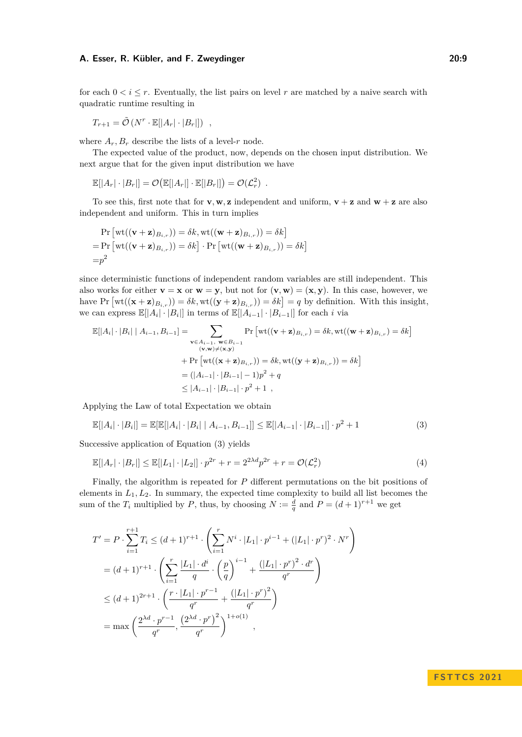for each  $0 < i \leq r$ . Eventually, the list pairs on level r are matched by a naive search with quadratic runtime resulting in

$$
T_{r+1} = \tilde{\mathcal{O}}\left(N^r \cdot \mathbb{E}[|A_r| \cdot |B_r|]\right) ,
$$

where  $A_r$ ,  $B_r$  describe the lists of a level-*r* node.

The expected value of the product, now, depends on the chosen input distribution. We next argue that for the given input distribution we have

$$
\mathbb{E}[|A_r| \cdot |B_r|] = \mathcal{O}(\mathbb{E}[|A_r|] \cdot \mathbb{E}[|B_r|]) = \mathcal{O}(\mathcal{L}_r^2) .
$$

To see this, first note that for **v**, **w**, **z** independent and uniform,  $\mathbf{v} + \mathbf{z}$  and  $\mathbf{w} + \mathbf{z}$  are also independent and uniform. This in turn implies

$$
\Pr\left[\text{wt}((\mathbf{v}+\mathbf{z})_{B_{i,r}})) = \delta k, \text{wt}((\mathbf{w}+\mathbf{z})_{B_{i,r}})) = \delta k\right]
$$
  
= 
$$
\Pr\left[\text{wt}((\mathbf{v}+\mathbf{z})_{B_{i,r}})) = \delta k\right] \cdot \Pr\left[\text{wt}((\mathbf{w}+\mathbf{z})_{B_{i,r}})) = \delta k\right]
$$
  
= 
$$
p^2
$$

since deterministic functions of independent random variables are still independent. This also works for either  $\mathbf{v} = \mathbf{x}$  or  $\mathbf{w} = \mathbf{y}$ , but not for  $(\mathbf{v}, \mathbf{w}) = (\mathbf{x}, \mathbf{y})$ . In this case, however, we have Pr  $[\text{wt}((\mathbf{x} + \mathbf{z})_{B_{i,r}})) = \delta k, \text{wt}((\mathbf{y} + \mathbf{z})_{B_{i,r}})) = \delta k] = q$  by definition. With this insight, we can express  $\mathbb{E}[|A_i| \cdot |B_i|]$  in terms of  $\mathbb{E}[|A_{i-1}| \cdot |B_{i-1}|]$  for each *i* via

$$
\mathbb{E}[|A_i| \cdot |B_i| | A_{i-1}, B_{i-1}] = \sum_{\substack{\mathbf{v} \in A_{i-1}, \ \mathbf{w} \in B_{i-1} \\ (\mathbf{v}, \mathbf{w}) \neq (\mathbf{x}, \mathbf{y})}} \Pr\left[\text{wt}((\mathbf{v} + \mathbf{z})_{B_{i,r}}) = \delta k, \text{wt}((\mathbf{w} + \mathbf{z})_{B_{i,r}}) = \delta k\right]
$$
  
+ 
$$
\Pr\left[\text{wt}((\mathbf{x} + \mathbf{z})_{B_{i,r}})\right] = \delta k, \text{wt}((\mathbf{y} + \mathbf{z})_{B_{i,r}})) = \delta k\right]
$$
  
= 
$$
(|A_{i-1}| \cdot |B_{i-1}| - 1)p^2 + q
$$
  

$$
\leq |A_{i-1}| \cdot |B_{i-1}| \cdot p^2 + 1,
$$

Applying the Law of total Expectation we obtain

$$
\mathbb{E}[|A_i| \cdot |B_i|] = \mathbb{E}[\mathbb{E}[|A_i| \cdot |B_i| \mid A_{i-1}, B_{i-1}]] \le \mathbb{E}[|A_{i-1}| \cdot |B_{i-1}|] \cdot p^2 + 1 \tag{3}
$$

Successive application of Equation [\(3\)](#page-8-0) yields

$$
\mathbb{E}[|A_r| \cdot |B_r|] \le \mathbb{E}[|L_1| \cdot |L_2|] \cdot p^{2r} + r = 2^{2\lambda d} p^{2r} + r = \mathcal{O}(\mathcal{L}_r^2)
$$
\n<sup>(4)</sup>

Finally, the algorithm is repeated for *P* different permutations on the bit positions of elements in  $L_1, L_2$ . In summary, the expected time complexity to build all list becomes the sum of the  $T_i$  multiplied by  $P$ , thus, by choosing  $N := \frac{d}{q}$  and  $P = (d+1)^{r+1}$  we get

$$
T' = P \cdot \sum_{i=1}^{r+1} T_i \le (d+1)^{r+1} \cdot \left( \sum_{i=1}^r N^i \cdot |L_1| \cdot p^{i-1} + (|L_1| \cdot p^r)^2 \cdot N^r \right)
$$
  
=  $(d+1)^{r+1} \cdot \left( \sum_{i=1}^r \frac{|L_1| \cdot d^i}{q} \cdot \left( \frac{p}{q} \right)^{i-1} + \frac{(|L_1| \cdot p^r)^2 \cdot d^r}{q^r} \right)$   
 $\le (d+1)^{2r+1} \cdot \left( \frac{r \cdot |L_1| \cdot p^{r-1}}{q^r} + \frac{(|L_1| \cdot p^r)^2}{q^r} \right)$   
=  $\max \left( \frac{2^{\lambda d} \cdot p^{r-1}}{q^r}, \frac{(2^{\lambda d} \cdot p^r)^2}{q^r} \right)^{1+o(1)},$ 

### <span id="page-8-0"></span>**F S T T C S 2 0 2 1**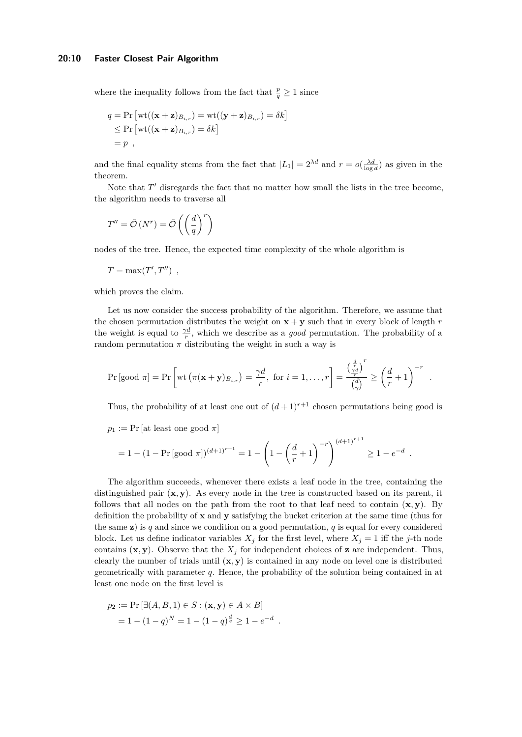where the inequality follows from the fact that  $\frac{p}{q} \geq 1$  since

$$
q = \Pr\left[\text{wt}((\mathbf{x} + \mathbf{z})_{B_{i,r}}) = \text{wt}((\mathbf{y} + \mathbf{z})_{B_{i,r}}) = \delta k\right]
$$
  
\$\leq\$ Pr \$\left[\text{wt}((\mathbf{x} + \mathbf{z})\_{B\_{i,r}}) = \delta k\right]\$  
= p ,

and the final equality stems from the fact that  $|L_1| = 2^{\lambda d}$  and  $r = o(\frac{\lambda d}{\log d})$  as given in the theorem.

Note that  $T'$  disregards the fact that no matter how small the lists in the tree become, the algorithm needs to traverse all

$$
T'' = \tilde{\mathcal{O}}\left(N^r\right) = \tilde{\mathcal{O}}\left(\left(\frac{d}{q}\right)^r\right)
$$

nodes of the tree. Hence, the expected time complexity of the whole algorithm is

$$
T = \max(T', T'')
$$
,

which proves the claim.

Let us now consider the success probability of the algorithm. Therefore, we assume that the chosen permutation distributes the weight on  $\mathbf{x} + \mathbf{y}$  such that in every block of length *r* the weight is equal to  $\frac{\gamma d}{r}$ , which we describe as a *good* permutation. The probability of a random permutation  $\pi$  distributing the weight in such a way is

$$
\Pr\left[\text{good } \pi\right] = \Pr\left[\text{wt}\left(\pi(\mathbf{x} + \mathbf{y})_{B_{i,r}}\right) = \frac{\gamma d}{r}, \text{ for } i = 1, \dots, r\right] = \frac{\left(\frac{d}{r} \right)^r}{\binom{d}{\gamma}} \ge \left(\frac{d}{r} + 1\right)^{-r}
$$

Thus, the probability of at least one out of  $(d+1)^{r+1}$  chosen permutations being good is

!(*d*+1)*r*+1

*.*

 $p_1 := \Pr$  [at least one good  $\pi$ ]

$$
= 1 - (1 - \Pr[\text{good } \pi])^{(d+1)^{r+1}} = 1 - \left(1 - \left(\frac{d}{r} + 1\right)^{-r}\right)^{(d+1)^{r+1}} \ge 1 - e^{-d}.
$$

The algorithm succeeds, whenever there exists a leaf node in the tree, containing the distinguished pair  $(x, y)$ . As every node in the tree is constructed based on its parent, it follows that all nodes on the path from the root to that leaf need to contain  $(\mathbf{x}, \mathbf{y})$ . By definition the probability of **x** and **y** satisfying the bucket criterion at the same time (thus for the same **z**) is *q* and since we condition on a good permutation, *q* is equal for every considered block. Let us define indicator variables  $X_j$  for the first level, where  $X_j = 1$  iff the *j*-th node contains  $(\mathbf{x}, \mathbf{y})$ . Observe that the  $X_i$  for independent choices of **z** are independent. Thus, clearly the number of trials until  $(x, y)$  is contained in any node on level one is distributed geometrically with parameter *q*. Hence, the probability of the solution being contained in at least one node on the first level is

$$
p_2 := \Pr[\exists (A, B, 1) \in S : (\mathbf{x}, \mathbf{y}) \in A \times B] \\
= 1 - (1 - q)^N = 1 - (1 - q)^{\frac{d}{q}} \ge 1 - e^{-d}.
$$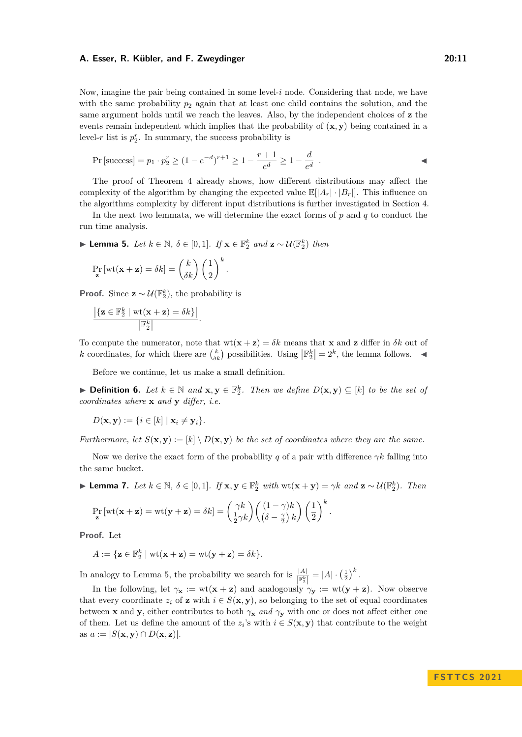Now, imagine the pair being contained in some level-*i* node. Considering that node, we have with the same probability  $p_2$  again that at least one child contains the solution, and the same argument holds until we reach the leaves. Also, by the independent choices of **z** the events remain independent which implies that the probability of (**x***,* **y**) being contained in a level- $r$  list is  $p_2^r$ . In summary, the success probability is

$$
Pr\left[\text{success}\right] = p_1 \cdot p_2^r \ge (1 - e^{-d})^{r+1} \ge 1 - \frac{r+1}{e^d} \ge 1 - \frac{d}{e^d}.
$$

The proof of Theorem [4](#page-7-0) already shows, how different distributions may affect the complexity of the algorithm by changing the expected value  $\mathbb{E}[|A_r| \cdot |B_r|]$ . This influence on the algorithms complexity by different input distributions is further investigated in Section [4.](#page-13-1)

In the next two lemmata, we will determine the exact forms of *p* and *q* to conduct the run time analysis.

<span id="page-10-0"></span>▶ **Lemma 5.** *Let k* ∈ N*, δ* ∈ [0*,* 1]*. If* **x** ∈ F *k* <sup>2</sup> *and* **z** ∼ U(F *k* 2 ) *then*

*.*

$$
\Pr_{\mathbf{z}}\left[\text{wt}(\mathbf{x}+\mathbf{z})=\delta k\right]=\binom{k}{\delta k}\left(\frac{1}{2}\right)^k
$$

**Proof.** Since  $\mathbf{z} \sim \mathcal{U}(\mathbb{F}_2^k)$ , the probability is

$$
\frac{|\{\mathbf{z}\in\mathbb{F}_2^k\mid \text{wt}(\mathbf{x}+\mathbf{z})=\delta k\}|}{|\mathbb{F}_2^k|}.
$$

To compute the numerator, note that  $wt(x + z) = \delta k$  means that x and z differ in  $\delta k$  out of *k* coordinates, for which there are  $\binom{k}{\delta k}$  possibilities. Using  $\left|\mathbb{F}_{2}^{k}\right|=2^{k}$ , the lemma follows.  $\blacktriangleleft$ 

Before we continue, let us make a small definition.

▶ **Definition 6.** Let  $k \in \mathbb{N}$  and  $\mathbf{x}, \mathbf{y} \in \mathbb{F}_2^k$ . Then we define  $D(\mathbf{x}, \mathbf{y}) \subseteq [k]$  to be the set of *coordinates where* **x** *and* **y** *differ, i.e.*

$$
D(\mathbf{x}, \mathbf{y}) := \{ i \in [k] \mid \mathbf{x}_i \neq \mathbf{y}_i \}.
$$

*Furthermore, let*  $S(\mathbf{x}, \mathbf{y}) := [k] \setminus D(\mathbf{x}, \mathbf{y})$  *be the set of coordinates where they are the same.* 

Now we derive the exact form of the probability *q* of a pair with difference *γk* falling into the same bucket.

<span id="page-10-1"></span>**Lemma 7.** Let  $k \in \mathbb{N}$ ,  $\delta \in [0,1]$ . If  $\mathbf{x}, \mathbf{y} \in \mathbb{F}_2^k$  with  $\text{wt}(\mathbf{x} + \mathbf{y}) = \gamma k$  and  $\mathbf{z} \sim \mathcal{U}(\mathbb{F}_2^k)$ . Then

$$
\Pr_{\mathbf{z}}\left[\text{wt}(\mathbf{x}+\mathbf{z})=\text{wt}(\mathbf{y}+\mathbf{z})=\delta k\right]=\binom{\gamma k}{\frac{1}{2}\gamma k}\left(\binom{(1-\gamma)k}{\left(\delta-\frac{\gamma}{2}\right)k}\right)\left(\frac{1}{2}\right)^k.
$$

**Proof.** Let

$$
A := \{ \mathbf{z} \in \mathbb{F}_2^k \mid \text{wt}(\mathbf{x} + \mathbf{z}) = \text{wt}(\mathbf{y} + \mathbf{z}) = \delta k \}.
$$

In analogy to Lemma [5,](#page-10-0) the probability we search for is  $\frac{|A|}{\|\mathbb{F}_2^k\|} = |A| \cdot \left(\frac{1}{2}\right)^k$ .

In the following, let  $\gamma_{\mathbf{x}} := \text{wt}(\mathbf{x} + \mathbf{z})$  and analogously  $\gamma_{\mathbf{y}} := \text{wt}(\mathbf{y} + \mathbf{z})$ . Now observe that every coordinate  $z_i$  of **z** with  $i \in S(\mathbf{x}, \mathbf{y})$ , so belonging to the set of equal coordinates between **x** and **y**, either contributes to both  $\gamma_x$  *and*  $\gamma_y$  with one or does not affect either one of them. Let us define the amount of the  $z_i$ 's with  $i \in S(\mathbf{x}, \mathbf{y})$  that contribute to the weight as  $a := |S(\mathbf{x}, \mathbf{y}) \cap D(\mathbf{x}, \mathbf{z})|$ .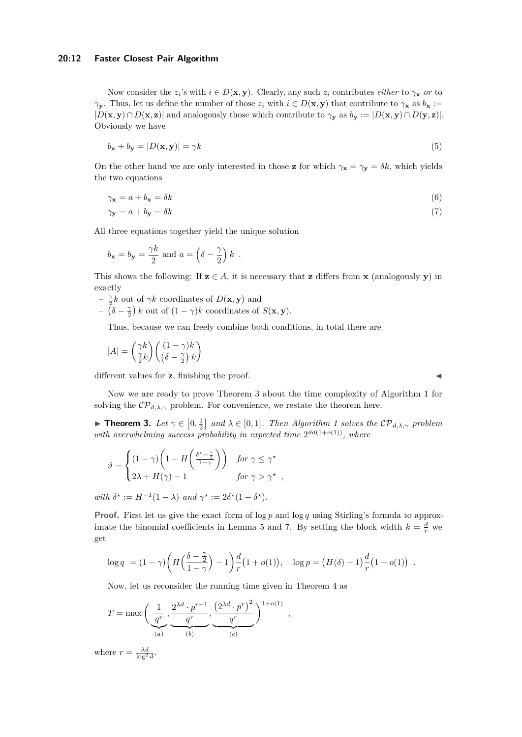#### **20:12 Faster Closest Pair Algorithm**

Now consider the  $z_i$ 's with  $i \in D(\mathbf{x}, \mathbf{y})$ . Clearly, any such  $z_i$  contributes *either* to  $\gamma_\mathbf{x}$  *or* to *γy***. Thus, let us define the number of those**  $z_i$  **with**  $i \in D$ **(<b>x***,* **y**) that contribute to  $γ$ **x** as  $b$ **x** :=  $|D(\mathbf{x}, \mathbf{y}) \cap D(\mathbf{x}, \mathbf{z})|$  and analogously those which contribute to  $\gamma_{\mathbf{y}}$  as  $b_{\mathbf{y}} := |D(\mathbf{x}, \mathbf{y}) \cap D(\mathbf{y}, \mathbf{z})|$ . Obviously we have

$$
b_{\mathbf{x}} + b_{\mathbf{y}} = |D(\mathbf{x}, \mathbf{y})| = \gamma k \tag{5}
$$

On the other hand we are only interested in those **z** for which  $\gamma_x = \gamma_y = \delta k$ , which yields the two equations

$$
\gamma_{\mathbf{x}} = a + b_{\mathbf{x}} = \delta k \tag{6}
$$

$$
\gamma_{\mathbf{y}} = a + b_{\mathbf{y}} = \delta k \tag{7}
$$

All three equations together yield the unique solution

$$
b_{\mathbf{x}} = b_{\mathbf{y}} = \frac{\gamma k}{2}
$$
 and  $a = \left(\delta - \frac{\gamma}{2}\right)k$ .

This shows the following: If  $z \in A$ , it is necessary that **z** differs from **x** (analogously **y**) in exactly

- <sup>*–*</sup>  $\frac{\gamma}{2}k$  out of γk coordinates of  $D(\mathbf{x}, \mathbf{y})$  and
- $-\left(\delta \frac{\gamma}{2}\right)k$  out of  $(1 \gamma)k$  coordinates of  $S(\mathbf{x}, \mathbf{y})$ .

Thus, because we can freely combine both conditions, in total there are

$$
|A| = \begin{pmatrix} \gamma k \\ \frac{\gamma}{2} k \end{pmatrix} \begin{pmatrix} (1 - \gamma)k \\ \left(\delta - \frac{\gamma}{2}\right) k \end{pmatrix}
$$

different values for **z**, finishing the proof.

Now we are ready to prove Theorem [3](#page-6-0) about the time complexity of Algorithm [1](#page-6-1) for solving the  $\mathcal{CP}_{d,\lambda,\gamma}$  problem. For convenience, we restate the theorem here.

**Fineorem 3.** Let  $\gamma \in [0, \frac{1}{2}]$  and  $\lambda \in [0, 1]$  $\lambda \in [0, 1]$  $\lambda \in [0, 1]$ . Then Algorithm 1 solves the  $\mathcal{CP}_{d, \lambda, \gamma}$  problem with overwhelming success probability in expected time  $2^{\vartheta d(1+o(1))}$ , where

$$
\vartheta = \begin{cases} (1 - \gamma) \left( 1 - H \left( \frac{\delta^* - \frac{\gamma}{2}}{1 - \gamma} \right) \right) & \text{for } \gamma \le \gamma^* \\ 2\lambda + H(\gamma) - 1 & \text{for } \gamma > \gamma^* \end{cases}
$$

*with*  $\delta^* := H^{-1}(1 - \lambda)$  *and*  $\gamma^* := 2\delta^*(1 - \delta^*)$ *.* 

**Proof.** First let us give the exact form of  $\log p$  and  $\log q$  using Stirling's formula to approx-imate the binomial coefficients in Lemma [5](#page-10-0) and [7.](#page-10-1) By setting the block width  $k = \frac{d}{r}$  we get

*,*

$$
\log q = (1 - \gamma) \left( H \left( \frac{\delta - \frac{\gamma}{2}}{1 - \gamma} \right) - 1 \right) \frac{d}{r} (1 + o(1)), \quad \log p = (H(\delta) - 1) \frac{d}{r} (1 + o(1)).
$$

Now, let us reconsider the running time given in Theorem [4](#page-7-0) as

$$
T = \max\left(\underbrace{\frac{1}{q^r}, \underbrace{2^{\lambda d} \cdot p^{r-1}}_{(a)}, \underbrace{\left(2^{\lambda d} \cdot p^r\right)^2}_{(b)}, \underbrace{\frac{1}{q^r}}_{(c)}\right)^{1+o(1)}
$$

where  $r = \frac{\lambda d}{\log^2 d}$ .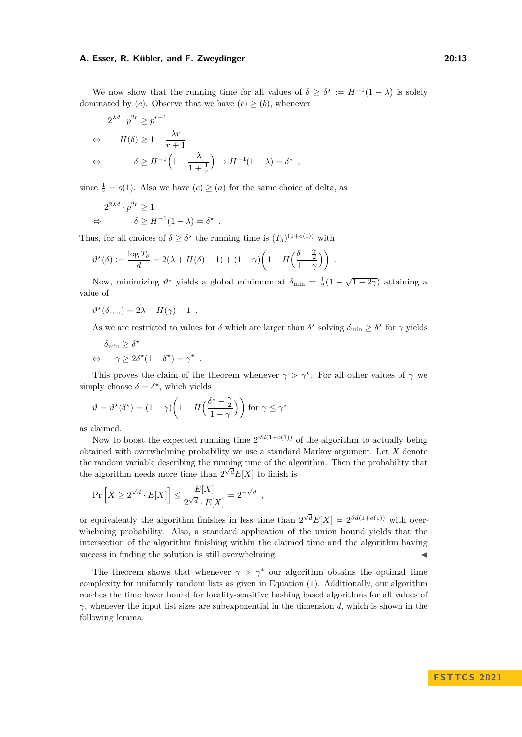We now show that the running time for all values of  $\delta \geq \delta^* := H^{-1}(1 - \lambda)$  is solely dominated by (*c*). Observe that we have  $(c) \geq (b)$ , whenever

*,*

$$
2^{\lambda d} \cdot p^{2r} \ge p^{r-1}
$$
  
\n
$$
\Leftrightarrow \qquad H(\delta) \ge 1 - \frac{\lambda r}{r+1}
$$
  
\n
$$
\Leftrightarrow \qquad \delta \ge H^{-1} \left( 1 - \frac{\lambda}{1 + \frac{1}{r}} \right) \to H^{-1} (1 - \lambda) = \delta^*
$$

since  $\frac{1}{r} = o(1)$ . Also we have  $(c) \geq (a)$  for the same choice of delta, as

*.*

$$
2^{2\lambda d} \cdot p^{2r} \ge 1
$$
  
\n
$$
\Leftrightarrow \qquad \delta \ge H^{-1}(1 - \lambda) = \delta^*
$$

Thus, for all choices of  $\delta \geq \delta^*$  the running time is  $(T_{\delta})^{(1+o(1))}$  with

$$
\vartheta^{\star}(\delta) := \frac{\log T_{\delta}}{d} = 2(\lambda + H(\delta) - 1) + (1 - \gamma) \left(1 - H\left(\frac{\delta - \frac{\gamma}{2}}{1 - \gamma}\right)\right) .
$$

Now, minimizing  $\vartheta^*$  yields a global minimum at  $\delta_{\min} = \frac{1}{2}(1 - \sqrt{1 - 2\gamma})$  attaining a value of

$$
\vartheta^{\star}(\delta_{\min}) = 2\lambda + H(\gamma) - 1.
$$

As we are restricted to values for  $\delta$  which are larger than  $\delta^*$  solving  $\delta_{\min} \geq \delta^*$  for  $\gamma$  yields

$$
\delta_{\min} \geq \delta^{\star}
$$
  

$$
\Leftrightarrow \quad \gamma \geq 2\delta^{\star} (1 - \delta^{\star}) = \gamma^{\star} .
$$

This proves the claim of the theorem whenever  $\gamma > \gamma^*$ . For all other values of  $\gamma$  we simply choose  $\delta = \delta^*$ , which yields

$$
\vartheta = \vartheta^{\star}(\delta^{\star}) = (1 - \gamma) \left( 1 - H\left(\frac{\delta^{\star} - \frac{\gamma}{2}}{1 - \gamma}\right) \right) \text{ for } \gamma \leq \gamma^{\star}
$$

as claimed.

Now to boost the expected running time  $2^{\vartheta d(1+o(1))}$  of the algorithm to actually being obtained with overwhelming probability we use a standard Markov argument. Let *X* denote the random variable describing the running time of the algorithm. Then the probability that the algorithm needs more time than  $2^{\sqrt{d}}E[X]$  to finish is

$$
\Pr\left[X \ge 2^{\sqrt{d}} \cdot E[X]\right] \le \frac{E[X]}{2^{\sqrt{d}} \cdot E[X]} = 2^{-\sqrt{d}} ,
$$

or equivalently the algorithm finishes in less time than  $2^{\sqrt{d}}E[X] = 2^{\vartheta d(1+o(1))}$  with overwhelming probability. Also, a standard application of the union bound yields that the intersection of the algorithm finishing within the claimed time and the algorithm having success in finding the solution is still overwhelming.

<span id="page-12-0"></span>The theorem shows that whenever  $\gamma > \gamma^*$  our algorithm obtains the optimal time complexity for uniformly random lists as given in Equation [\(1\)](#page-4-2). Additionally, our algorithm reaches the time lower bound for locality-sensitive hashing based algorithms for all values of  $γ$ , whenever the input list sizes are subexponential in the dimension *d*, which is shown in the following lemma.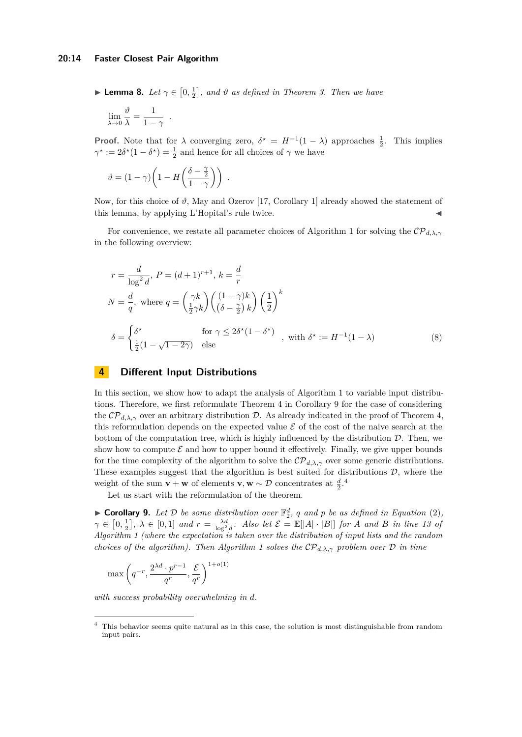#### **20:14 Faster Closest Pair Algorithm**

**• Lemma 8.** Let  $\gamma \in [0, \frac{1}{2}]$ , and  $\vartheta$  as defined in Theorem [3.](#page-6-0) Then we have

$$
\lim_{\lambda \to 0} \frac{\vartheta}{\lambda} = \frac{1}{1 - \gamma} .
$$

**Proof.** Note that for  $\lambda$  converging zero,  $\delta^* = H^{-1}(1 - \lambda)$  approaches  $\frac{1}{2}$ . This implies  $\gamma^* := 2\delta^*(1 - \delta^*) = \frac{1}{2}$  and hence for all choices of  $\gamma$  we have

$$
\vartheta = (1 - \gamma) \bigg( 1 - H \bigg( \frac{\delta - \frac{\gamma}{2}}{1 - \gamma} \bigg) \bigg) .
$$

Now, for this choice of  $\vartheta$ , May and Ozerov [\[17,](#page-16-4) Corollary 1] already showed the statement of this lemma, by applying L'Hopital's rule twice.

For convenience, we restate all parameter choices of Algorithm [1](#page-6-1) for solving the  $\mathcal{CP}_{d,\lambda,\gamma}$ in the following overview:

<span id="page-13-0"></span>
$$
r = \frac{d}{\log^2 d}, P = (d+1)^{r+1}, k = \frac{d}{r}
$$
  
\n
$$
N = \frac{d}{q}, \text{ where } q = \left(\frac{\gamma k}{\frac{1}{2}\gamma k}\right) \left(\frac{(1-\gamma)k}{(\delta-\frac{\gamma}{2})k}\right) \left(\frac{1}{2}\right)^k
$$
  
\n
$$
\delta = \begin{cases} \delta^\star & \text{for } \gamma \le 2\delta^\star (1-\delta^\star) \\ \frac{1}{2}(1-\sqrt{1-2\gamma}) & \text{else} \end{cases}, \text{ with } \delta^\star := H^{-1}(1-\lambda)
$$
\n(8)

## <span id="page-13-1"></span>**4 Different Input Distributions**

In this section, we show how to adapt the analysis of Algorithm [1](#page-6-1) to variable input distributions. Therefore, we first reformulate Theorem [4](#page-7-0) in Corollary [9](#page-13-2) for the case of considering the  $\mathcal{CP}_{d,\lambda,\gamma}$  over an arbitrary distribution D. As already indicated in the proof of Theorem [4,](#page-7-0) this reformulation depends on the expected value  $\mathcal E$  of the cost of the naive search at the bottom of the computation tree, which is highly influenced by the distribution  $D$ . Then, we show how to compute  $\mathcal E$  and how to upper bound it effectively. Finally, we give upper bounds for the time complexity of the algorithm to solve the  $\mathcal{CP}_{d,\lambda,\gamma}$  over some generic distributions. These examples suggest that the algorithm is best suited for distributions  $D$ , where the weight of the sum **v** + **w** of elements **v**, **w** ~  $\mathcal{D}$  concentrates at  $\frac{d}{2}$ .<sup>[4](#page-13-3)</sup>

Let us start with the reformulation of the theorem.

<span id="page-13-2"></span> $\blacktriangleright$  **Corollary 9.** Let  $\mathcal{D}$  be some distribution over  $\mathbb{F}_2^d$ , q and p be as defined in Equation [\(2\)](#page-7-1),  $\gamma \in [0, \frac{1}{2}], \ \lambda \in [0, 1]$  and  $r = \frac{\lambda d}{\log^2 d}$ . Also let  $\mathcal{E} = \mathbb{E}[|A| \cdot |B|]$  for A and B in line [13](#page-5-0) of *Algorithm [1](#page-6-1) (where the expectation is taken over the distribution of input lists and the random choices of the algorithm). Then Algorithm [1](#page-6-1) solves the* CP*d,λ,γ problem over* D *in time*

$$
\max\left(q^{-r}, \frac{2^{\lambda d} \cdot p^{r-1}}{q^r}, \frac{\mathcal{E}}{q^r}\right)^{1+o(1)}
$$

*with success probability overwhelming in d.*

<span id="page-13-3"></span><sup>4</sup> This behavior seems quite natural as in this case, the solution is most distinguishable from random input pairs.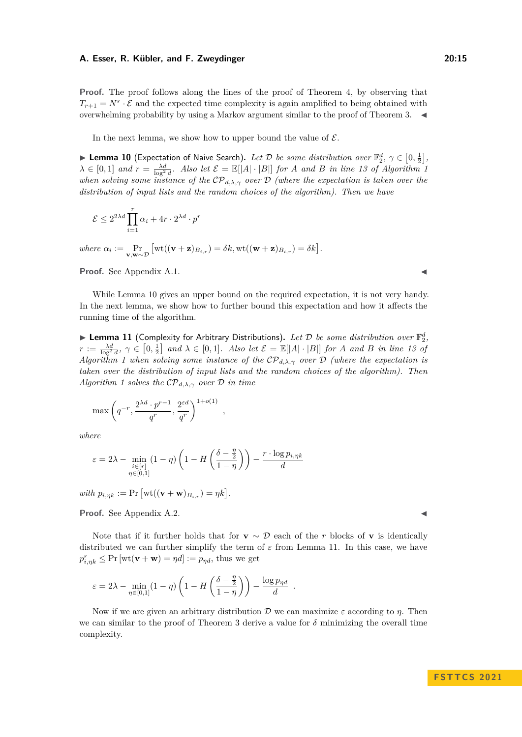**Proof.** The proof follows along the lines of the proof of Theorem [4,](#page-7-0) by observing that  $T_{r+1} = N^r \cdot \mathcal{E}$  and the expected time complexity is again amplified to being obtained with overwhelming probability by using a Markov argument similar to the proof of Theorem [3.](#page-6-0)  $\blacktriangleleft$ 

In the next lemma, we show how to upper bound the value of  $\mathcal{E}$ .

<span id="page-14-0"></span>**Lemma 10** (Expectation of Naive Search). Let D be some distribution over  $\mathbb{F}_2^d$ ,  $\gamma \in [0, \frac{1}{2}]$ ,  $\lambda \in [0,1]$  and  $r = \frac{\lambda d}{\log^2 d}$ . Also let  $\mathcal{E} = \mathbb{E}[|A| \cdot |B|]$  for *A* and *B* in line [13](#page-5-0) of Algorithm [1](#page-6-1) *when solving some instance of the* CP*d,λ,γ over* D *(where the expectation is taken over the distribution of input lists and the random choices of the algorithm). Then we have*

$$
\mathcal{E} \le 2^{2\lambda d} \prod_{i=1}^r \alpha_i + 4r \cdot 2^{\lambda d} \cdot p^r
$$

 $where \ \alpha_i := \Pr_{\mathbf{v}, \mathbf{w} \sim \mathcal{D}} \left[ \text{wt}((\mathbf{v} + \mathbf{z})_{B_{i,r}}) = \delta k, \text{wt}((\mathbf{w} + \mathbf{z})_{B_{i,r}}) = \delta k \right].$ 

**Proof.** See Appendix [A.1.](#page-17-0)

While Lemma [10](#page-14-0) gives an upper bound on the required expectation, it is not very handy. In the next lemma, we show how to further bound this expectation and how it affects the running time of the algorithm.

<span id="page-14-1"></span> $\blacktriangleright$  Lemma 11 (Complexity for Arbitrary Distributions). Let  $\mathcal D$  be some distribution over  $\mathbb F_2^d$ ,  $r := \frac{\lambda d}{\log^2 d}$ ,  $\gamma \in [0, \frac{1}{2}]$  and  $\lambda \in [0, 1]$ . Also let  $\mathcal{E} = \mathbb{E}[|A| \cdot |B|]$  for A and B in line [13](#page-5-0) of *Algorithm [1](#page-6-1) when solving some instance of the* CP*d,λ,γ over* D *(where the expectation is taken over the distribution of input lists and the random choices of the algorithm). Then Algorithm [1](#page-6-1) solves the* CP*d,λ,γ over* D *in time*

$$
\max\left(q^{-r}, \frac{2^{\lambda d} \cdot p^{r-1}}{q^r}, \frac{2^{\varepsilon d}}{q^r}\right)^{1+o(1)}
$$

*where*

$$
\varepsilon = 2\lambda - \min_{\substack{i \in [r] \\ \eta \in [0,1]}} (1 - \eta) \left( 1 - H\left(\frac{\delta - \frac{\eta}{2}}{1 - \eta}\right) \right) - \frac{r \cdot \log p_{i,\eta k}}{d}
$$

*,*

 $with p_{i,\eta k} := \Pr \left[ \text{wt}((\mathbf{v} + \mathbf{w})_{B_{i,r}}) = \eta k \right].$ 

**Proof.** See Appendix [A.2.](#page-17-1)

Note that if it further holds that for **v**  $\sim \mathcal{D}$  each of the *r* blocks of **v** is identically distributed we can further simplify the term of *ε* from Lemma [11.](#page-14-1) In this case, we have  $p_{i,\eta k}^r \leq \Pr \left[\text{wt}(\mathbf{v} + \mathbf{w}) = \eta d\right] := p_{\eta d}$ , thus we get

$$
\varepsilon = 2\lambda - \min_{\eta \in [0,1]} (1 - \eta) \left( 1 - H\left(\frac{\delta - \frac{\eta}{2}}{1 - \eta}\right) \right) - \frac{\log p_{\eta d}}{d} .
$$

Now if we are given an arbitrary distribution D we can maximize *ε* according to *η*. Then we can similar to the proof of Theorem [3](#page-6-0) derive a value for  $\delta$  minimizing the overall time complexity.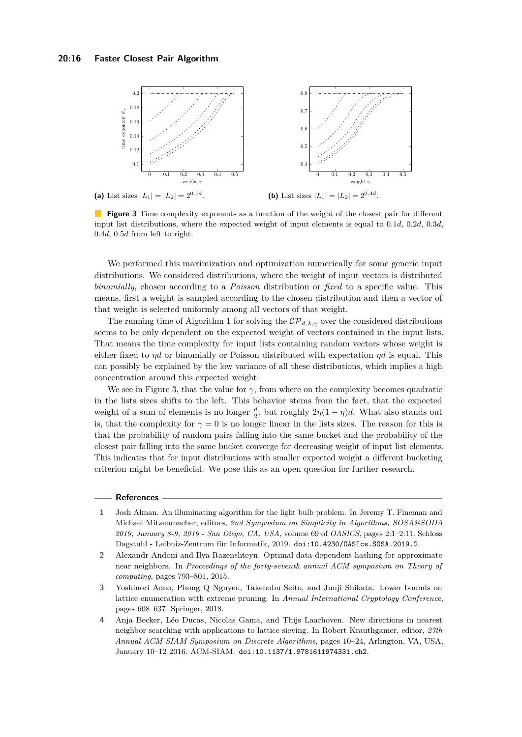<span id="page-15-3"></span>

**Figure 3** Time complexity exponents as a function of the weight of the closest pair for different input list distributions, where the expected weight of input elements is equal to 0*.*1*d*, 0*.*2*d*, 0*.*3*d*, 0*.*4*d*, 0*.*5*d* from left to right.

We performed this maximization and optimization numerically for some generic input distributions. We considered distributions, where the weight of input vectors is distributed *binomially*, chosen according to a *Poisson* distribution or *fixed* to a specific value. This means, first a weight is sampled according to the chosen distribution and then a vector of that weight is selected uniformly among all vectors of that weight.

The running time of Algorithm [1](#page-6-1) for solving the  $\mathcal{CP}_{d,\lambda,\gamma}$  over the considered distributions seems to be only dependent on the expected weight of vectors contained in the input lists. That means the time complexity for input lists containing random vectors whose weight is either fixed to *ηd* or binomially or Poisson distributed with expectation *ηd* is equal. This can possibly be explained by the low variance of all these distributions, which implies a high concentration around this expected weight.

We see in Figure [3,](#page-15-3) that the value for  $\gamma$ , from where on the complexity becomes quadratic in the lists sizes shifts to the left. This behavior stems from the fact, that the expected weight of a sum of elements is no longer  $\frac{d}{2}$ , but roughly  $2\eta(1-\eta)d$ . What also stands out is, that the complexity for  $\gamma = 0$  is no longer linear in the lists sizes. The reason for this is that the probability of random pairs falling into the same bucket and the probability of the closest pair falling into the same bucket converge for decreasing weight of input list elements. This indicates that for input distributions with smaller expected weight a different bucketing criterion might be beneficial. We pose this as an open question for further research.

#### **References**

- <span id="page-15-1"></span>**1** Josh Alman. An illuminating algorithm for the light bulb problem. In Jeremy T. Fineman and Michael Mitzenmacher, editors, *2nd Symposium on Simplicity in Algorithms, SOSA@SODA 2019, January 8-9, 2019 - San Diego, CA, USA*, volume 69 of *OASICS*, pages 2:1–2:11. Schloss Dagstuhl - Leibniz-Zentrum für Informatik, 2019. [doi:10.4230/OASIcs.SOSA.2019.2](https://doi.org/10.4230/OASIcs.SOSA.2019.2).
- <span id="page-15-0"></span>**2** Alexandr Andoni and Ilya Razenshteyn. Optimal data-dependent hashing for approximate near neighbors. In *Proceedings of the forty-seventh annual ACM symposium on Theory of computing*, pages 793–801, 2015.
- <span id="page-15-4"></span>**3** Yoshinori Aono, Phong Q Nguyen, Takenobu Seito, and Junji Shikata. Lower bounds on lattice enumeration with extreme pruning. In *Annual International Cryptology Conference*, pages 608–637. Springer, 2018.
- <span id="page-15-2"></span>**4** Anja Becker, Léo Ducas, Nicolas Gama, and Thijs Laarhoven. New directions in nearest neighbor searching with applications to lattice sieving. In Robert Krauthgamer, editor, *27th Annual ACM-SIAM Symposium on Discrete Algorithms*, pages 10–24, Arlington, VA, USA, January 10–12 2016. ACM-SIAM. [doi:10.1137/1.9781611974331.ch2](https://doi.org/10.1137/1.9781611974331.ch2).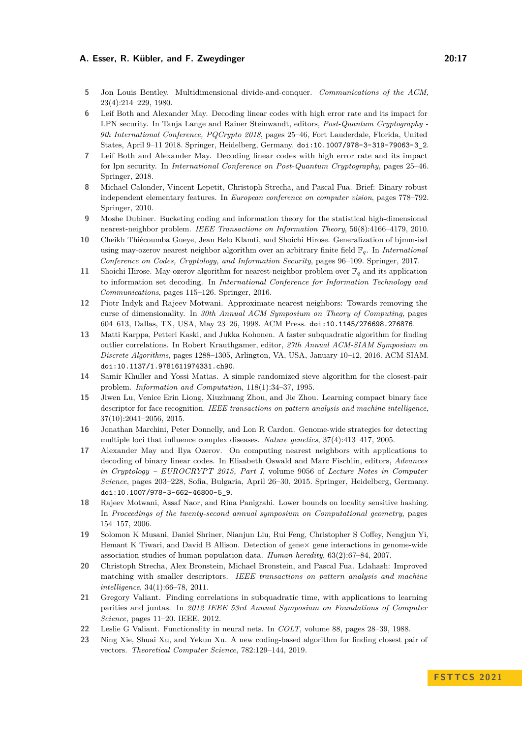- <span id="page-16-8"></span>**5** Jon Louis Bentley. Multidimensional divide-and-conquer. *Communications of the ACM*, 23(4):214–229, 1980.
- <span id="page-16-3"></span>**6** Leif Both and Alexander May. Decoding linear codes with high error rate and its impact for LPN security. In Tanja Lange and Rainer Steinwandt, editors, *Post-Quantum Cryptography - 9th International Conference, PQCrypto 2018*, pages 25–46, Fort Lauderdale, Florida, United States, April 9–11 2018. Springer, Heidelberg, Germany. [doi:10.1007/978-3-319-79063-3\\_2](https://doi.org/10.1007/978-3-319-79063-3_2).
- <span id="page-16-16"></span>**7** Leif Both and Alexander May. Decoding linear codes with high error rate and its impact for lpn security. In *International Conference on Post-Quantum Cryptography*, pages 25–46. Springer, 2018.
- <span id="page-16-0"></span>**8** Michael Calonder, Vincent Lepetit, Christoph Strecha, and Pascal Fua. Brief: Binary robust independent elementary features. In *European conference on computer vision*, pages 778–792. Springer, 2010.
- <span id="page-16-11"></span>**9** Moshe Dubiner. Bucketing coding and information theory for the statistical high-dimensional nearest-neighbor problem. *IEEE Transactions on Information Theory*, 56(8):4166–4179, 2010.
- <span id="page-16-17"></span>**10** Cheikh Thiécoumba Gueye, Jean Belo Klamti, and Shoichi Hirose. Generalization of bjmm-isd using may-ozerov nearest neighbor algorithm over an arbitrary finite field F*q*. In *International Conference on Codes, Cryptology, and Information Security*, pages 96–109. Springer, 2017.
- <span id="page-16-18"></span>**11** Shoichi Hirose. May-ozerov algorithm for nearest-neighbor problem over F*<sup>q</sup>* and its application to information set decoding. In *International Conference for Information Technology and Communications*, pages 115–126. Springer, 2016.
- <span id="page-16-10"></span>**12** Piotr Indyk and Rajeev Motwani. Approximate nearest neighbors: Towards removing the curse of dimensionality. In *30th Annual ACM Symposium on Theory of Computing*, pages 604–613, Dallas, TX, USA, May 23–26, 1998. ACM Press. [doi:10.1145/276698.276876](https://doi.org/10.1145/276698.276876).
- <span id="page-16-14"></span>**13** Matti Karppa, Petteri Kaski, and Jukka Kohonen. A faster subquadratic algorithm for finding outlier correlations. In Robert Krauthgamer, editor, *27th Annual ACM-SIAM Symposium on Discrete Algorithms*, pages 1288–1305, Arlington, VA, USA, January 10–12, 2016. ACM-SIAM. [doi:10.1137/1.9781611974331.ch90](https://doi.org/10.1137/1.9781611974331.ch90).
- <span id="page-16-9"></span>**14** Samir Khuller and Yossi Matias. A simple randomized sieve algorithm for the closest-pair problem. *Information and Computation*, 118(1):34–37, 1995.
- <span id="page-16-1"></span>**15** Jiwen Lu, Venice Erin Liong, Xiuzhuang Zhou, and Jie Zhou. Learning compact binary face descriptor for face recognition. *IEEE transactions on pattern analysis and machine intelligence*, 37(10):2041–2056, 2015.
- <span id="page-16-5"></span>**16** Jonathan Marchini, Peter Donnelly, and Lon R Cardon. Genome-wide strategies for detecting multiple loci that influence complex diseases. *Nature genetics*, 37(4):413–417, 2005.
- <span id="page-16-4"></span>**17** Alexander May and Ilya Ozerov. On computing nearest neighbors with applications to decoding of binary linear codes. In Elisabeth Oswald and Marc Fischlin, editors, *Advances in Cryptology – EUROCRYPT 2015, Part I*, volume 9056 of *Lecture Notes in Computer Science*, pages 203–228, Sofia, Bulgaria, April 26–30, 2015. Springer, Heidelberg, Germany. [doi:10.1007/978-3-662-46800-5\\_9](https://doi.org/10.1007/978-3-662-46800-5_9).
- <span id="page-16-12"></span>**18** Rajeev Motwani, Assaf Naor, and Rina Panigrahi. Lower bounds on locality sensitive hashing. In *Proceedings of the twenty-second annual symposium on Computational geometry*, pages 154–157, 2006.
- <span id="page-16-6"></span>**19** Solomon K Musani, Daniel Shriner, Nianjun Liu, Rui Feng, Christopher S Coffey, Nengjun Yi, Hemant K Tiwari, and David B Allison. Detection of gene $\times$  gene interactions in genome-wide association studies of human population data. *Human heredity*, 63(2):67–84, 2007.
- <span id="page-16-2"></span>**20** Christoph Strecha, Alex Bronstein, Michael Bronstein, and Pascal Fua. Ldahash: Improved matching with smaller descriptors. *IEEE transactions on pattern analysis and machine intelligence*, 34(1):66–78, 2011.
- <span id="page-16-13"></span>**21** Gregory Valiant. Finding correlations in subquadratic time, with applications to learning parities and juntas. In *2012 IEEE 53rd Annual Symposium on Foundations of Computer Science*, pages 11–20. IEEE, 2012.
- <span id="page-16-7"></span>**22** Leslie G Valiant. Functionality in neural nets. In *COLT*, volume 88, pages 28–39, 1988.
- <span id="page-16-15"></span>**23** Ning Xie, Shuai Xu, and Yekun Xu. A new coding-based algorithm for finding closest pair of vectors. *Theoretical Computer Science*, 782:129–144, 2019.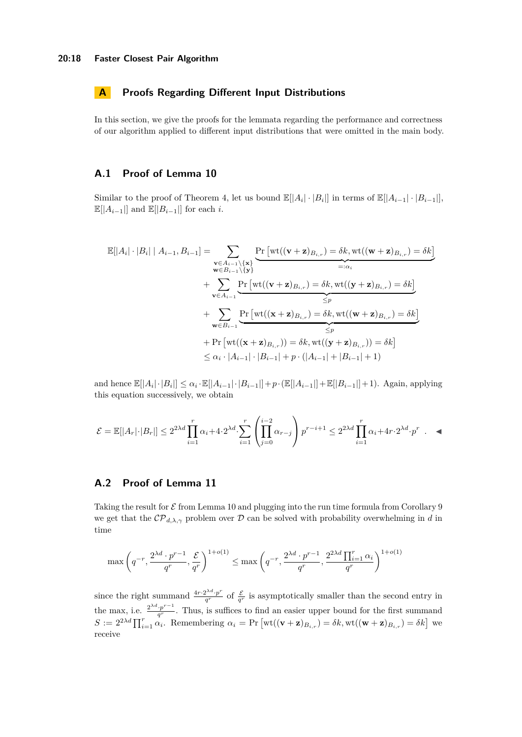## **A Proofs Regarding Different Input Distributions**

In this section, we give the proofs for the lemmata regarding the performance and correctness of our algorithm applied to different input distributions that were omitted in the main body.

## <span id="page-17-0"></span>**A.1 Proof of Lemma [10](#page-14-0)**

Similar to the proof of Theorem [4,](#page-7-0) let us bound  $\mathbb{E}[|A_i| \cdot |B_i|]$  in terms of  $\mathbb{E}[|A_{i-1}| \cdot |B_{i-1}|]$ ,  $\mathbb{E}[|A_{i-1}|]$  and  $\mathbb{E}[|B_{i-1}|]$  for each *i*.

$$
\mathbb{E}[|A_i| \cdot |B_i| | A_{i-1}, B_{i-1}] = \sum_{\substack{\mathbf{v} \in A_{i-1} \setminus \{\mathbf{x}\} \\ \mathbf{w} \in B_{i-1} \setminus \{\mathbf{v}\} \\ \mathbf{v} \in A_{i-1}}} \frac{\Pr\left[\text{wt}((\mathbf{v} + \mathbf{z})_{B_{i,r}}) = \delta k, \text{wt}((\mathbf{w} + \mathbf{z})_{B_{i,r}}) = \delta k\right]}{\max_{\mathbf{v} \in A_{i-1}}} + \sum_{\substack{\mathbf{v} \in A_{i-1} \\ \mathbf{v} \in B_{i-1}}} \frac{\Pr\left[\text{wt}((\mathbf{v} + \mathbf{z})_{B_{i,r}}) = \delta k, \text{wt}((\mathbf{y} + \mathbf{z})_{B_{i,r}}) = \delta k\right]}{\leq p} + \sum_{\substack{\mathbf{v} \in B_{i-1} \\ \mathbf{v} \in B_{i-1}}} \frac{\Pr\left[\text{wt}((\mathbf{x} + \mathbf{z})_{B_{i,r}}) = \delta k, \text{wt}((\mathbf{w} + \mathbf{z})_{B_{i,r}}) = \delta k\right]}{\leq p} + \Pr\left[\text{wt}((\mathbf{x} + \mathbf{z})_{B_{i,r}})\right] = \delta k, \text{wt}((\mathbf{y} + \mathbf{z})_{B_{i,r}})\right] = \delta k\right]} \leq \alpha_i \cdot |A_{i-1}| \cdot |B_{i-1}| + p \cdot (|A_{i-1}| + |B_{i-1}| + 1)
$$

and hence  $\mathbb{E}[|A_i| \cdot |B_i|] \leq \alpha_i \cdot \mathbb{E}[|A_{i-1}| \cdot |B_{i-1}|] + p \cdot (\mathbb{E}[|A_{i-1}|] + \mathbb{E}[|B_{i-1}|] + 1)$ . Again, applying this equation successively, we obtain

$$
\mathcal{E} = \mathbb{E}[|A_r| \cdot |B_r|] \le 2^{2\lambda d} \prod_{i=1}^r \alpha_i + 4 \cdot 2^{\lambda d} \cdot \sum_{i=1}^r \left( \prod_{j=0}^{i-2} \alpha_{r-j} \right) p^{r-i+1} \le 2^{2\lambda d} \prod_{i=1}^r \alpha_i + 4r \cdot 2^{\lambda d} \cdot p^r \quad \blacktriangleleft
$$

## <span id="page-17-1"></span>**A.2 Proof of Lemma [11](#page-14-1)**

Taking the result for  $\mathcal E$  from Lemma [10](#page-14-0) and plugging into the run time formula from Corollary [9](#page-13-2) we get that the  $\mathcal{CP}_{d,\lambda,\gamma}$  problem over D can be solved with probability overwhelming in d in time

$$
\max\left(q^{-r}, \frac{2^{\lambda d} \cdot p^{r-1}}{q^r}, \frac{\mathcal{E}}{q^r}\right)^{1+o(1)} \le \max\left(q^{-r}, \frac{2^{\lambda d} \cdot p^{r-1}}{q^r}, \frac{2^{2\lambda d} \prod_{i=1}^r \alpha_i}{q^r}\right)^{1+o(1)}
$$

since the right summand  $\frac{4r \cdot 2^{\lambda d} \cdot p^r}{a^r}$  $q^{\frac{2\lambda a}{r}}$  of  $\frac{\mathcal{E}}{q^r}$  is asymptotically smaller than the second entry in the max, i.e.  $\frac{2^{\lambda d} \cdot p^{r-1}}{q^r}$  $q^r$ . Thus, is suffices to find an easier upper bound for the first summand  $S := 2^{2\lambda d} \prod_{i=1}^r \alpha_i$ . Remembering  $\alpha_i = \Pr \left[ \text{wt}((\mathbf{v} + \mathbf{z})_{B_{i,r}}) = \delta k, \text{wt}((\mathbf{w} + \mathbf{z})_{B_{i,r}}) = \delta k \right]$  we receive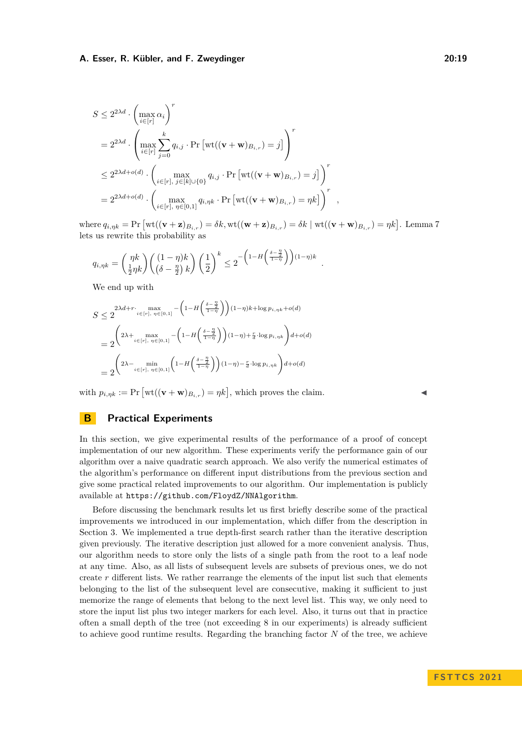$$
S \leq 2^{2\lambda d} \cdot \left(\max_{i \in [r]} \alpha_i\right)^r
$$
  
=  $2^{2\lambda d} \cdot \left(\max_{i \in [r]} \sum_{j=0}^k q_{i,j} \cdot \Pr\left[\text{wt}((\mathbf{v} + \mathbf{w})_{B_{i,r}}) = j\right]\right)^r$   
 $\leq 2^{2\lambda d + o(d)} \cdot \left(\max_{i \in [r], j \in [k] \cup \{0\}} q_{i,j} \cdot \Pr\left[\text{wt}((\mathbf{v} + \mathbf{w})_{B_{i,r}}) = j\right]\right)^r$   
=  $2^{2\lambda d + o(d)} \cdot \left(\max_{i \in [r], \eta \in [0,1]} q_{i,\eta k} \cdot \Pr\left[\text{wt}((\mathbf{v} + \mathbf{w})_{B_{i,r}}) = \eta k\right]\right)^r$ ,

 $\text{where } q_{i,\eta k} = \Pr \left[ \text{wt}((\mathbf{v} + \mathbf{z})_{B_{i,r}}) = \delta k, \text{wt}((\mathbf{w} + \mathbf{z})_{B_{i,r}}) = \delta k \mid \text{wt}((\mathbf{v} + \mathbf{w})_{B_{i,r}}) = \eta k \right].$  Lemma [7](#page-10-1) lets us rewrite this probability as

*.*

$$
q_{i,\eta k} = \binom{\eta k}{\frac{1}{2}\eta k} \binom{(1-\eta)k}{\left(\delta - \frac{\eta}{2}\right) k} \left(\frac{1}{2}\right)^k \le 2^{-\left(1 - H\left(\frac{\delta - \frac{\eta}{2}}{1 - \eta}\right)\right)(1-\eta)k}
$$

We end up with

$$
S \leq 2^{\lambda d + r} \cdot \max_{i \in [r], \eta \in [0,1]} - \left(1 - H\left(\frac{\delta - \frac{\eta}{2}}{1 - \eta}\right)\right)(1 - \eta)k + \log p_{i, \eta k} + o(d)
$$
  
= 
$$
2^{\left(2\lambda + \max_{i \in [r], \eta \in [0,1]} - \left(1 - H\left(\frac{\delta - \frac{\eta}{2}}{1 - \eta}\right)\right)(1 - \eta) + \frac{r}{d} \cdot \log p_{i, \eta k}\right) d + o(d)}
$$
  
= 
$$
2^{\left(2\lambda - \min_{i \in [r], \eta \in [0,1]} \left(1 - H\left(\frac{\delta - \frac{\eta}{2}}{1 - \eta}\right)\right)(1 - \eta) - \frac{r}{d} \cdot \log p_{i, \eta k}\right) d + o(d)}
$$

with  $p_{i,\eta k} := \Pr \left[ \text{wt}((\mathbf{v} + \mathbf{w})_{B_{i,r}}) = \eta k \right]$ , which proves the claim.

## **B Practical Experiments**

In this section, we give experimental results of the performance of a proof of concept implementation of our new algorithm. These experiments verify the performance gain of our algorithm over a naive quadratic search approach. We also verify the numerical estimates of the algorithm's performance on different input distributions from the previous section and give some practical related improvements to our algorithm. Our implementation is publicly available at <https://github.com/FloydZ/NNAlgorithm>.

Before discussing the benchmark results let us first briefly describe some of the practical improvements we introduced in our implementation, which differ from the description in Section [3.](#page-4-1) We implemented a true depth-first search rather than the iterative description given previously. The iterative description just allowed for a more convenient analysis. Thus, our algorithm needs to store only the lists of a single path from the root to a leaf node at any time. Also, as all lists of subsequent levels are subsets of previous ones, we do not create  $r$  different lists. We rather rearrange the elements of the input list such that elements belonging to the list of the subsequent level are consecutive, making it sufficient to just memorize the range of elements that belong to the next level list. This way, we only need to store the input list plus two integer markers for each level. Also, it turns out that in practice often a small depth of the tree (not exceeding 8 in our experiments) is already sufficient to achieve good runtime results. Regarding the branching factor *N* of the tree, we achieve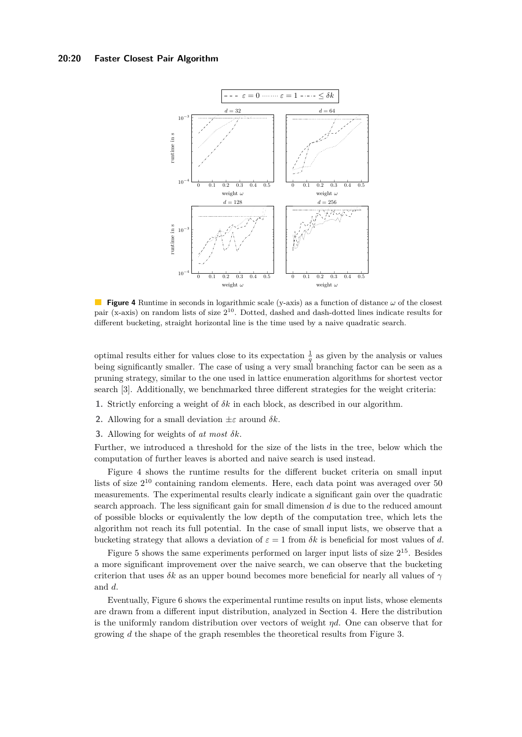#### <span id="page-19-1"></span>**20:20 Faster Closest Pair Algorithm**

<span id="page-19-0"></span>

**Figure 4** Runtime in seconds in logarithmic scale (y-axis) as a function of distance *ω* of the closest pair (x-axis) on random lists of size  $2^{10}$ . Dotted, dashed and dash-dotted lines indicate results for different bucketing, straight horizontal line is the time used by a naive quadratic search.

optimal results either for values close to its expectation  $\frac{1}{q}$  as given by the analysis or values being significantly smaller. The case of using a very small branching factor can be seen as a pruning strategy, similar to the one used in lattice enumeration algorithms for shortest vector search [\[3\]](#page-15-4). Additionally, we benchmarked three different strategies for the weight criteria:

- **1.** Strictly enforcing a weight of  $\delta k$  in each block, as described in our algorithm.
- **2.** Allowing for a small deviation  $\pm \varepsilon$  around  $\delta k$ .
- **3.** Allowing for weights of *at most δk*.

Further, we introduced a threshold for the size of the lists in the tree, below which the computation of further leaves is aborted and naive search is used instead.

Figure [4](#page-19-1) shows the runtime results for the different bucket criteria on small input lists of size  $2^{10}$  containing random elements. Here, each data point was averaged over 50 measurements. The experimental results clearly indicate a significant gain over the quadratic search approach. The less significant gain for small dimension *d* is due to the reduced amount of possible blocks or equivalently the low depth of the computation tree, which lets the algorithm not reach its full potential. In the case of small input lists, we observe that a bucketing strategy that allows a deviation of  $\varepsilon = 1$  from  $\delta k$  is beneficial for most values of d.

Figure [5](#page-20-0) shows the same experiments performed on larger input lists of size  $2^{15}$ . Besides a more significant improvement over the naive search, we can observe that the bucketing criterion that uses  $\delta k$  as an upper bound becomes more beneficial for nearly all values of  $\gamma$ and *d*.

Eventually, Figure [6](#page-20-1) shows the experimental runtime results on input lists, whose elements are drawn from a different input distribution, analyzed in Section [4.](#page-13-1) Here the distribution is the uniformly random distribution over vectors of weight *ηd*. One can observe that for growing *d* the shape of the graph resembles the theoretical results from Figure [3.](#page-15-3)